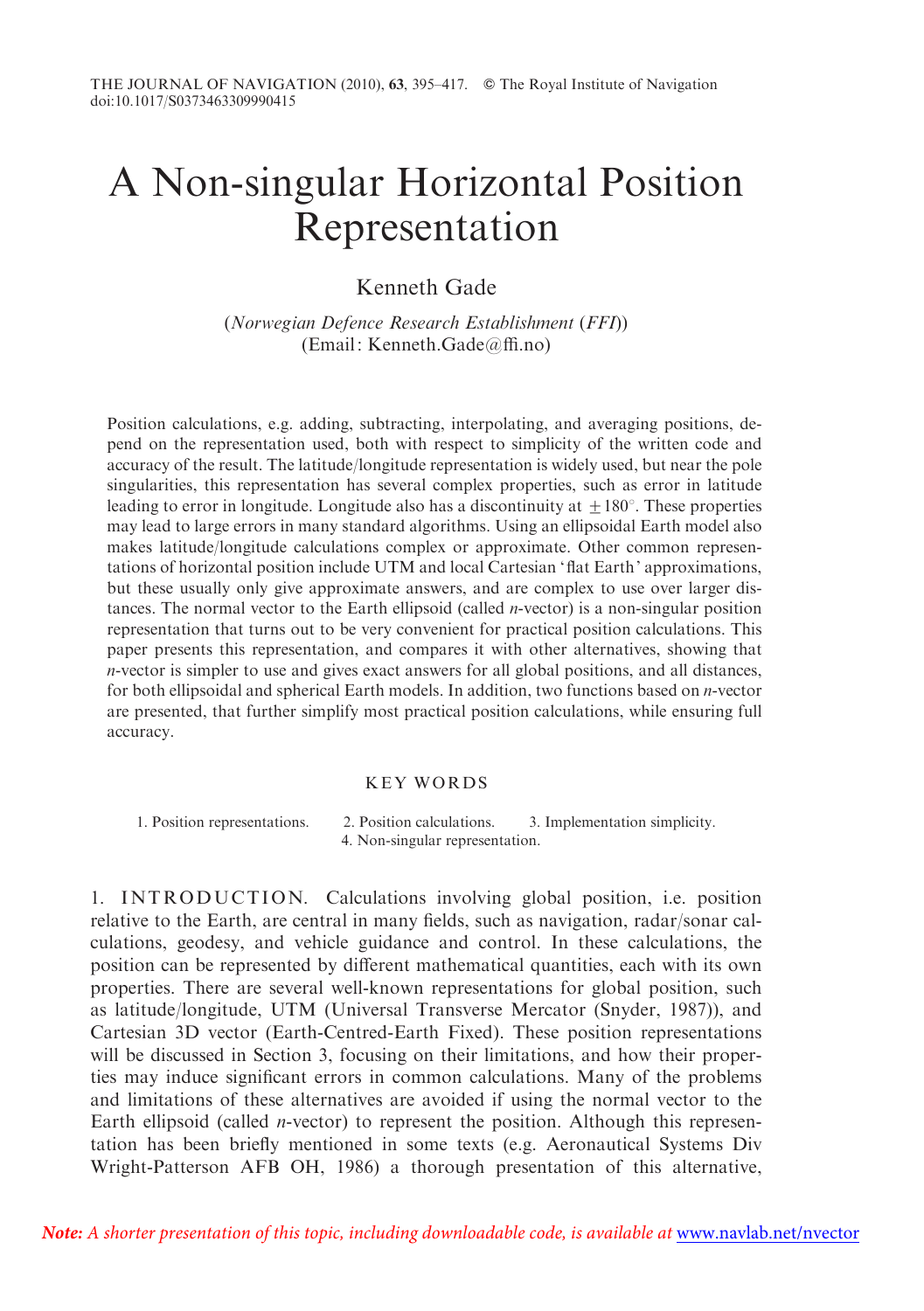# A Non-singular Horizontal Position Representation

Kenneth Gade

(Norwegian Defence Research Establishment (FFI)) (Email: Kenneth.Gade@ffi.no)

Position calculations, e.g. adding, subtracting, interpolating, and averaging positions, depend on the representation used, both with respect to simplicity of the written code and accuracy of the result. The latitude/longitude representation is widely used, but near the pole singularities, this representation has several complex properties, such as error in latitude leading to error in longitude. Longitude also has a discontinuity at  $+180^\circ$ . These properties may lead to large errors in many standard algorithms. Using an ellipsoidal Earth model also makes latitude/longitude calculations complex or approximate. Other common representations of horizontal position include UTM and local Cartesian 'flat Earth' approximations, but these usually only give approximate answers, and are complex to use over larger distances. The normal vector to the Earth ellipsoid (called *n*-vector) is a non-singular position representation that turns out to be very convenient for practical position calculations. This paper presents this representation, and compares it with other alternatives, showing that n-vector is simpler to use and gives exact answers for all global positions, and all distances, for both ellipsoidal and spherical Earth models. In addition, two functions based on n-vector are presented, that further simplify most practical position calculations, while ensuring full accuracy.

# KEY WORDS

1. Position representations. 2. Position calculations. 3. Implementation simplicity. 4. Non-singular representation.

1. INTRODUCTION. Calculations involving global position, i.e. position relative to the Earth, are central in many fields, such as navigation, radar/sonar calculations, geodesy, and vehicle guidance and control. In these calculations, the position can be represented by different mathematical quantities, each with its own properties. There are several well-known representations for global position, such as latitude/longitude, UTM (Universal Transverse Mercator (Snyder, 1987)), and Cartesian 3D vector (Earth-Centred-Earth Fixed). These position representations will be discussed in Section 3, focusing on their limitations, and how their properties may induce significant errors in common calculations. Many of the problems and limitations of these alternatives are avoided if using the normal vector to the Earth ellipsoid (called *n*-vector) to represent the position. Although this representation has been briefly mentioned in some texts (e.g. Aeronautical Systems Div Wright-Patterson AFB OH, 1986) a thorough presentation of this alternative,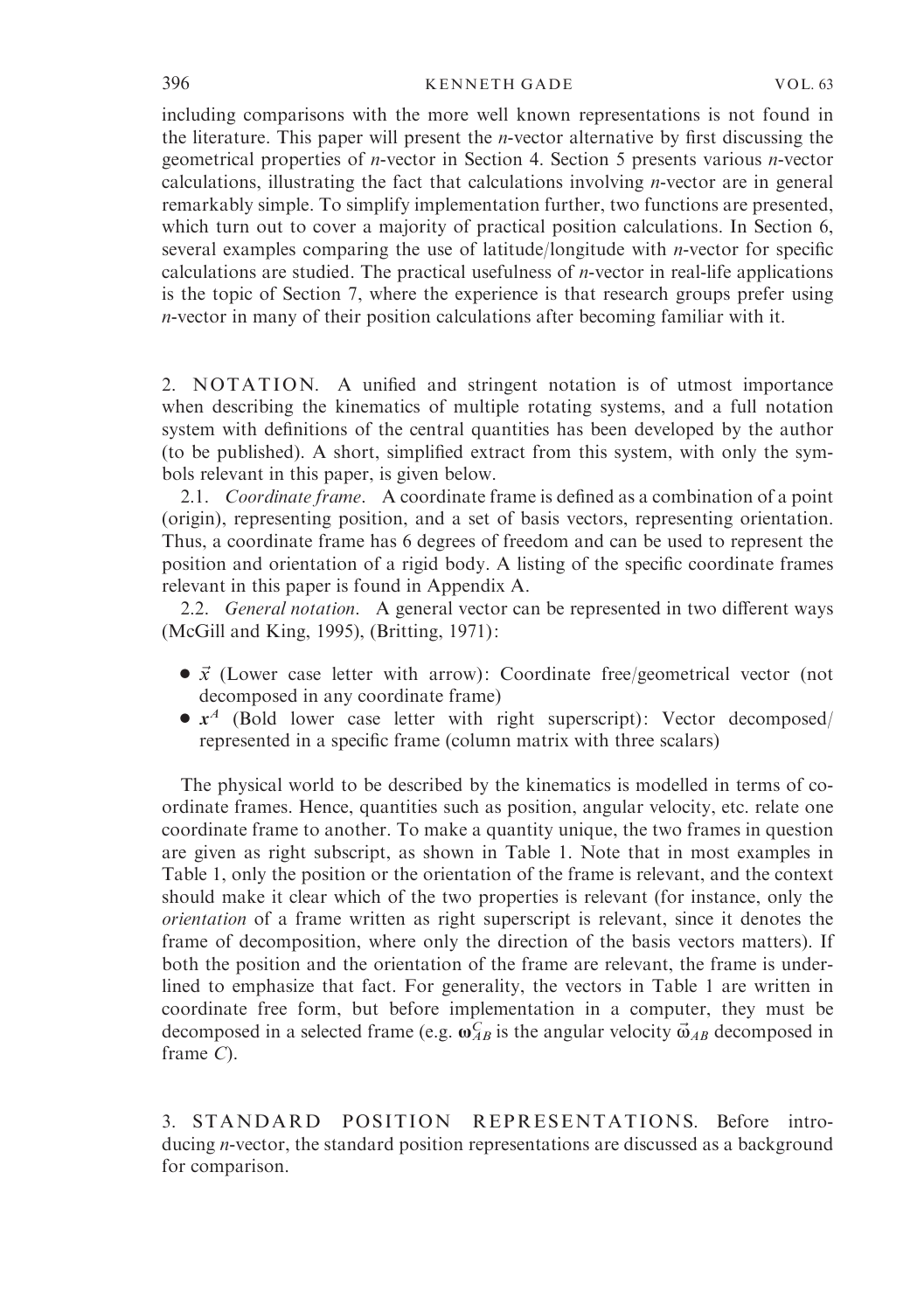including comparisons with the more well known representations is not found in the literature. This paper will present the *n*-vector alternative by first discussing the geometrical properties of n-vector in Section 4. Section 5 presents various n-vector calculations, illustrating the fact that calculations involving n-vector are in general remarkably simple. To simplify implementation further, two functions are presented, which turn out to cover a majority of practical position calculations. In Section 6, several examples comparing the use of latitude/longitude with n-vector for specific calculations are studied. The practical usefulness of  $n$ -vector in real-life applications is the topic of Section 7, where the experience is that research groups prefer using n-vector in many of their position calculations after becoming familiar with it.

2. NOTATION. A unified and stringent notation is of utmost importance when describing the kinematics of multiple rotating systems, and a full notation system with definitions of the central quantities has been developed by the author (to be published). A short, simplified extract from this system, with only the symbols relevant in this paper, is given below.

2.1. Coordinate frame. A coordinate frame is defined as a combination of a point (origin), representing position, and a set of basis vectors, representing orientation. Thus, a coordinate frame has 6 degrees of freedom and can be used to represent the position and orientation of a rigid body. A listing of the specific coordinate frames relevant in this paper is found in Appendix A.

2.2. General notation. A general vector can be represented in two different ways (McGill and King, 1995), (Britting, 1971):

- $\bullet$   $\vec{x}$  (Lower case letter with arrow): Coordinate free/geometrical vector (not decomposed in any coordinate frame)
- $\bullet$   $x^4$  (Bold lower case letter with right superscript): Vector decomposed/ represented in a specific frame (column matrix with three scalars)

The physical world to be described by the kinematics is modelled in terms of coordinate frames. Hence, quantities such as position, angular velocity, etc. relate one coordinate frame to another. To make a quantity unique, the two frames in question are given as right subscript, as shown in Table 1. Note that in most examples in Table 1, only the position or the orientation of the frame is relevant, and the context should make it clear which of the two properties is relevant (for instance, only the orientation of a frame written as right superscript is relevant, since it denotes the frame of decomposition, where only the direction of the basis vectors matters). If both the position and the orientation of the frame are relevant, the frame is underlined to emphasize that fact. For generality, the vectors in Table 1 are written in coordinate free form, but before implementation in a computer, they must be decomposed in a selected frame (e.g.  $\omega_{AB}^C$  is the angular velocity  $\vec{\omega}_{AB}$  decomposed in frame C).

3. STANDARD POSITION REPRESENTATIONS. Before introducing n-vector, the standard position representations are discussed as a background for comparison.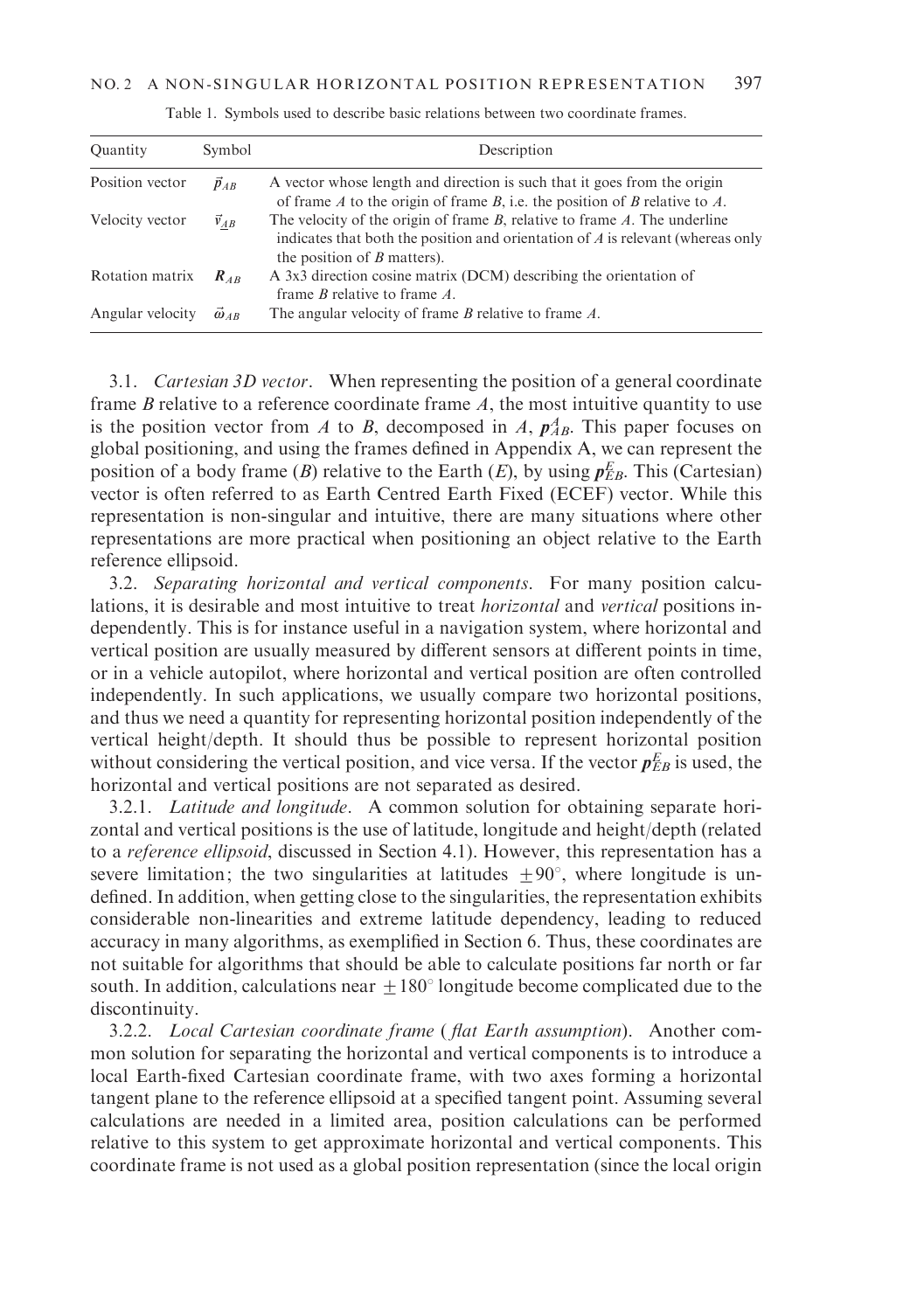| Quantity         | Symbol              | Description                                                                                                                                                                                                 |
|------------------|---------------------|-------------------------------------------------------------------------------------------------------------------------------------------------------------------------------------------------------------|
| Position vector  | $\vec{p}_{AB}$      | A vector whose length and direction is such that it goes from the origin<br>of frame A to the origin of frame B, i.e. the position of B relative to A.                                                      |
| Velocity vector  | $\vec{v}_{AB}$      | The velocity of the origin of frame $B$ , relative to frame $A$ . The underline<br>indicates that both the position and orientation of $\vec{A}$ is relevant (whereas only<br>the position of $B$ matters). |
| Rotation matrix  | $R_{AB}$            | A 3x3 direction cosine matrix (DCM) describing the orientation of<br>frame $B$ relative to frame $A$ .                                                                                                      |
| Angular velocity | $\vec{\omega}_{AB}$ | The angular velocity of frame $B$ relative to frame $A$ .                                                                                                                                                   |

Table 1. Symbols used to describe basic relations between two coordinate frames.

3.1. Cartesian 3D vector. When representing the position of a general coordinate frame  $B$  relative to a reference coordinate frame  $A$ , the most intuitive quantity to use is the position vector from A to B, decomposed in A,  $p_{AB}^A$ . This paper focuses on global positioning, and using the frames defined in Appendix A, we can represent the position of a body frame (B) relative to the Earth (E), by using  $p_{EB}^E$ . This (Cartesian) vector is often referred to as Earth Centred Earth Fixed (ECEF) vector. While this representation is non-singular and intuitive, there are many situations where other representations are more practical when positioning an object relative to the Earth reference ellipsoid.

3.2. Separating horizontal and vertical components. For many position calculations, it is desirable and most intuitive to treat horizontal and vertical positions independently. This is for instance useful in a navigation system, where horizontal and vertical position are usually measured by different sensors at different points in time, or in a vehicle autopilot, where horizontal and vertical position are often controlled independently. In such applications, we usually compare two horizontal positions, and thus we need a quantity for representing horizontal position independently of the vertical height/depth. It should thus be possible to represent horizontal position without considering the vertical position, and vice versa. If the vector  $p_{EB}^E$  is used, the horizontal and vertical positions are not separated as desired.

3.2.1. Latitude and longitude. A common solution for obtaining separate horizontal and vertical positions is the use of latitude, longitude and height/depth (related to a reference ellipsoid, discussed in Section 4.1). However, this representation has a severe limitation; the two singularities at latitudes  $\pm 90^{\circ}$ , where longitude is undefined. In addition, when getting close to the singularities, the representation exhibits considerable non-linearities and extreme latitude dependency, leading to reduced accuracy in many algorithms, as exemplified in Section 6. Thus, these coordinates are not suitable for algorithms that should be able to calculate positions far north or far south. In addition, calculations near  $\pm 180^\circ$  longitude become complicated due to the discontinuity.

3.2.2. Local Cartesian coordinate frame ( flat Earth assumption). Another common solution for separating the horizontal and vertical components is to introduce a local Earth-fixed Cartesian coordinate frame, with two axes forming a horizontal tangent plane to the reference ellipsoid at a specified tangent point. Assuming several calculations are needed in a limited area, position calculations can be performed relative to this system to get approximate horizontal and vertical components. This coordinate frame is not used as a global position representation (since the local origin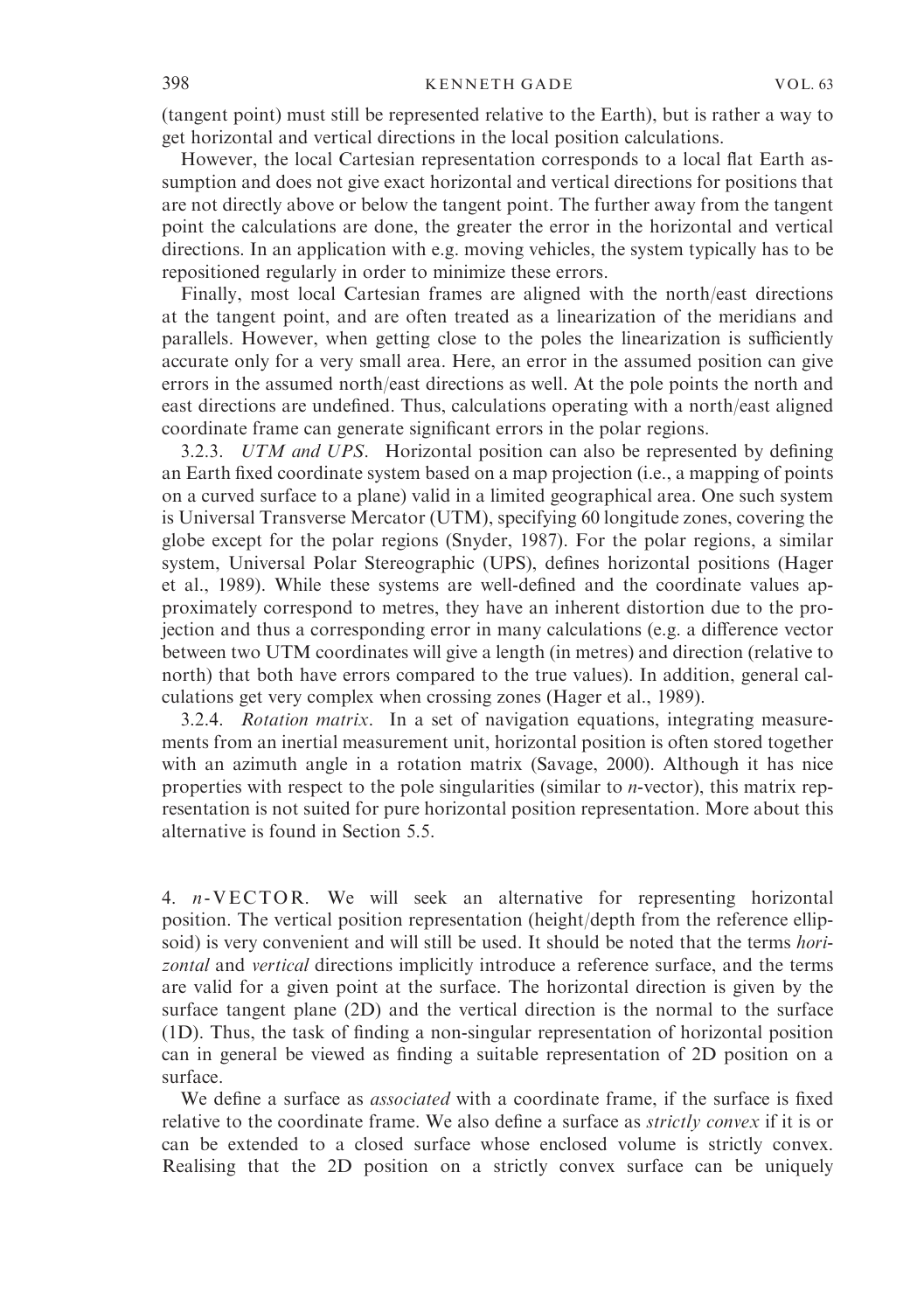(tangent point) must still be represented relative to the Earth), but is rather a way to get horizontal and vertical directions in the local position calculations.

However, the local Cartesian representation corresponds to a local flat Earth assumption and does not give exact horizontal and vertical directions for positions that are not directly above or below the tangent point. The further away from the tangent point the calculations are done, the greater the error in the horizontal and vertical directions. In an application with e.g. moving vehicles, the system typically has to be repositioned regularly in order to minimize these errors.

Finally, most local Cartesian frames are aligned with the north/east directions at the tangent point, and are often treated as a linearization of the meridians and parallels. However, when getting close to the poles the linearization is sufficiently accurate only for a very small area. Here, an error in the assumed position can give errors in the assumed north/east directions as well. At the pole points the north and east directions are undefined. Thus, calculations operating with a north/east aligned coordinate frame can generate significant errors in the polar regions.

3.2.3. UTM and UPS. Horizontal position can also be represented by defining an Earth fixed coordinate system based on a map projection (i.e., a mapping of points on a curved surface to a plane) valid in a limited geographical area. One such system is Universal Transverse Mercator (UTM), specifying 60 longitude zones, covering the globe except for the polar regions (Snyder, 1987). For the polar regions, a similar system, Universal Polar Stereographic (UPS), defines horizontal positions (Hager et al., 1989). While these systems are well-defined and the coordinate values approximately correspond to metres, they have an inherent distortion due to the projection and thus a corresponding error in many calculations (e.g. a difference vector between two UTM coordinates will give a length (in metres) and direction (relative to north) that both have errors compared to the true values). In addition, general calculations get very complex when crossing zones (Hager et al., 1989).

3.2.4. Rotation matrix. In a set of navigation equations, integrating measurements from an inertial measurement unit, horizontal position is often stored together with an azimuth angle in a rotation matrix (Savage, 2000). Although it has nice properties with respect to the pole singularities (similar to n-vector), this matrix representation is not suited for pure horizontal position representation. More about this alternative is found in Section 5.5.

4. n- VECTOR. We will seek an alternative for representing horizontal position. The vertical position representation (height/depth from the reference ellipsoid) is very convenient and will still be used. It should be noted that the terms *hori*zontal and vertical directions implicitly introduce a reference surface, and the terms are valid for a given point at the surface. The horizontal direction is given by the surface tangent plane (2D) and the vertical direction is the normal to the surface (1D). Thus, the task of finding a non-singular representation of horizontal position can in general be viewed as finding a suitable representation of 2D position on a surface.

We define a surface as *associated* with a coordinate frame, if the surface is fixed relative to the coordinate frame. We also define a surface as *strictly convex* if it is or can be extended to a closed surface whose enclosed volume is strictly convex. Realising that the 2D position on a strictly convex surface can be uniquely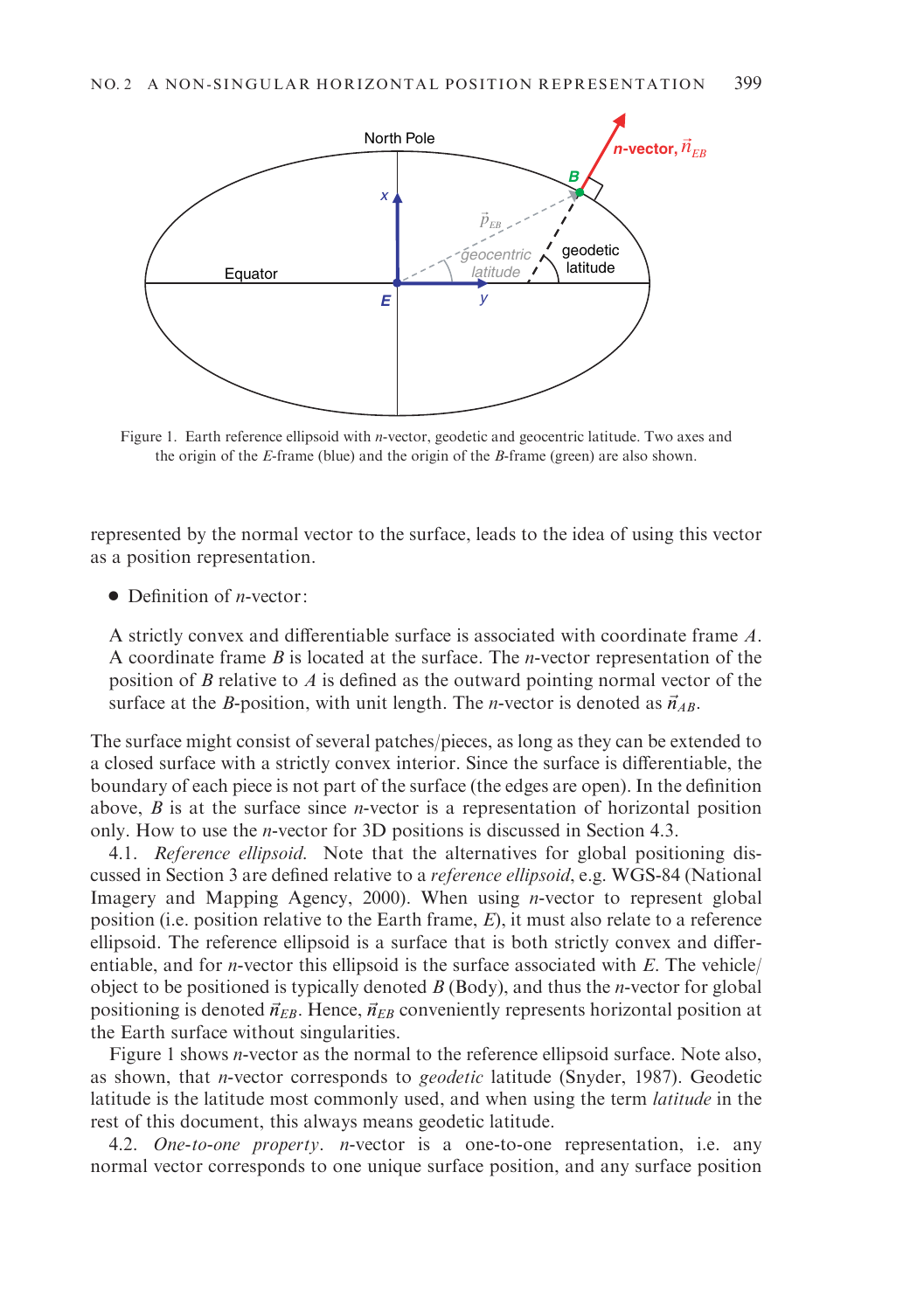

Figure 1. Earth reference ellipsoid with n-vector, geodetic and geocentric latitude. Two axes and the origin of the E-frame (blue) and the origin of the B-frame (green) are also shown.

represented by the normal vector to the surface, leads to the idea of using this vector as a position representation.

 $\bullet$  Definition of *n*-vector:

A strictly convex and differentiable surface is associated with coordinate frame A. A coordinate frame  $B$  is located at the surface. The *n*-vector representation of the position of B relative to A is defined as the outward pointing normal vector of the surface at the B-position, with unit length. The *n*-vector is denoted as  $\vec{n}_{AB}$ .

The surface might consist of several patches/pieces, as long as they can be extended to a closed surface with a strictly convex interior. Since the surface is differentiable, the boundary of each piece is not part of the surface (the edges are open). In the definition above,  $B$  is at the surface since *n*-vector is a representation of horizontal position only. How to use the n-vector for 3D positions is discussed in Section 4.3.

4.1. Reference ellipsoid. Note that the alternatives for global positioning discussed in Section 3 are defined relative to a reference ellipsoid, e.g. WGS-84 (National Imagery and Mapping Agency, 2000). When using n-vector to represent global position (i.e. position relative to the Earth frame, E), it must also relate to a reference ellipsoid. The reference ellipsoid is a surface that is both strictly convex and differentiable, and for *n*-vector this ellipsoid is the surface associated with  $E$ . The vehicle/ object to be positioned is typically denoted  $B$  (Body), and thus the *n*-vector for global positioning is denoted  $\vec{n}_{EB}$ . Hence,  $\vec{n}_{EB}$  conveniently represents horizontal position at the Earth surface without singularities.

Figure 1 shows n-vector as the normal to the reference ellipsoid surface. Note also, as shown, that n-vector corresponds to geodetic latitude (Snyder, 1987). Geodetic latitude is the latitude most commonly used, and when using the term latitude in the rest of this document, this always means geodetic latitude.

4.2. One-to-one property. *n*-vector is a one-to-one representation, i.e. any normal vector corresponds to one unique surface position, and any surface position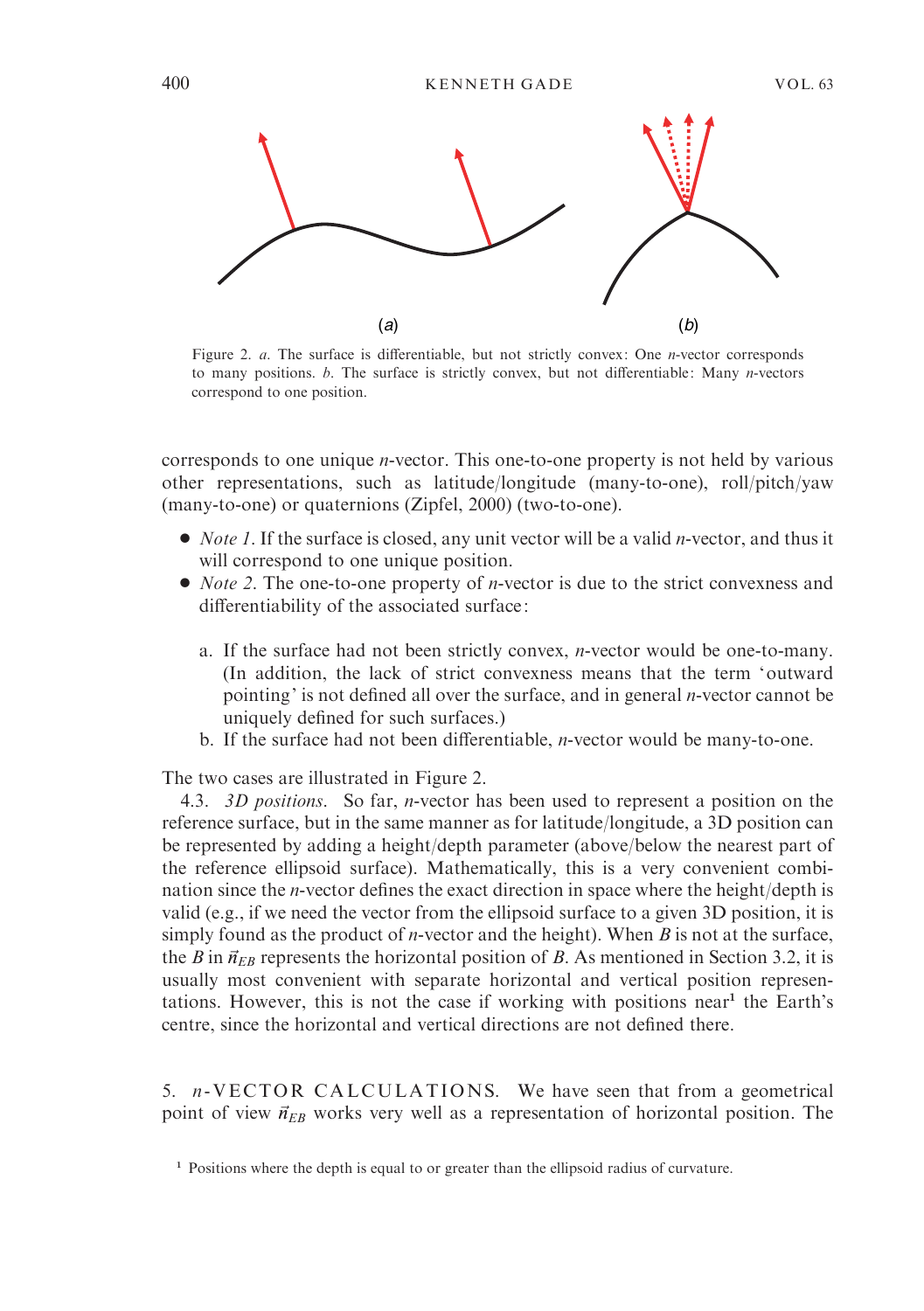

Figure 2. *a*. The surface is differentiable, but not strictly convex: One *n*-vector corresponds to many positions.  $b$ . The surface is strictly convex, but not differentiable: Many  $n$ -vectors correspond to one position.

corresponds to one unique n-vector. This one-to-one property is not held by various other representations, such as latitude/longitude (many-to-one), roll/pitch/yaw (many-to-one) or quaternions (Zipfel, 2000) (two-to-one).

- $\bullet$  *Note 1*. If the surface is closed, any unit vector will be a valid *n*-vector, and thus it will correspond to one unique position.
- $\bullet$  *Note 2*. The one-to-one property of *n*-vector is due to the strict convexness and differentiability of the associated surface:
	- a. If the surface had not been strictly convex, n-vector would be one-to-many. (In addition, the lack of strict convexness means that the term 'outward pointing' is not defined all over the surface, and in general n-vector cannot be uniquely defined for such surfaces.)
	- b. If the surface had not been differentiable, n-vector would be many-to-one.

The two cases are illustrated in Figure 2.

4.3. 3D positions. So far, n-vector has been used to represent a position on the reference surface, but in the same manner as for latitude/longitude, a 3D position can be represented by adding a height/depth parameter (above/below the nearest part of the reference ellipsoid surface). Mathematically, this is a very convenient combination since the n-vector defines the exact direction in space where the height/depth is valid (e.g., if we need the vector from the ellipsoid surface to a given 3D position, it is simply found as the product of *n*-vector and the height). When  $B$  is not at the surface, the B in  $\vec{n}_{EB}$  represents the horizontal position of B. As mentioned in Section 3.2, it is usually most convenient with separate horizontal and vertical position representations. However, this is not the case if working with positions near<sup>1</sup> the Earth's centre, since the horizontal and vertical directions are not defined there.

5.  $n$ -VECTOR CALCULATIONS. We have seen that from a geometrical point of view  $\vec{n}_{EB}$  works very well as a representation of horizontal position. The

<sup>&</sup>lt;sup>1</sup> Positions where the depth is equal to or greater than the ellipsoid radius of curvature.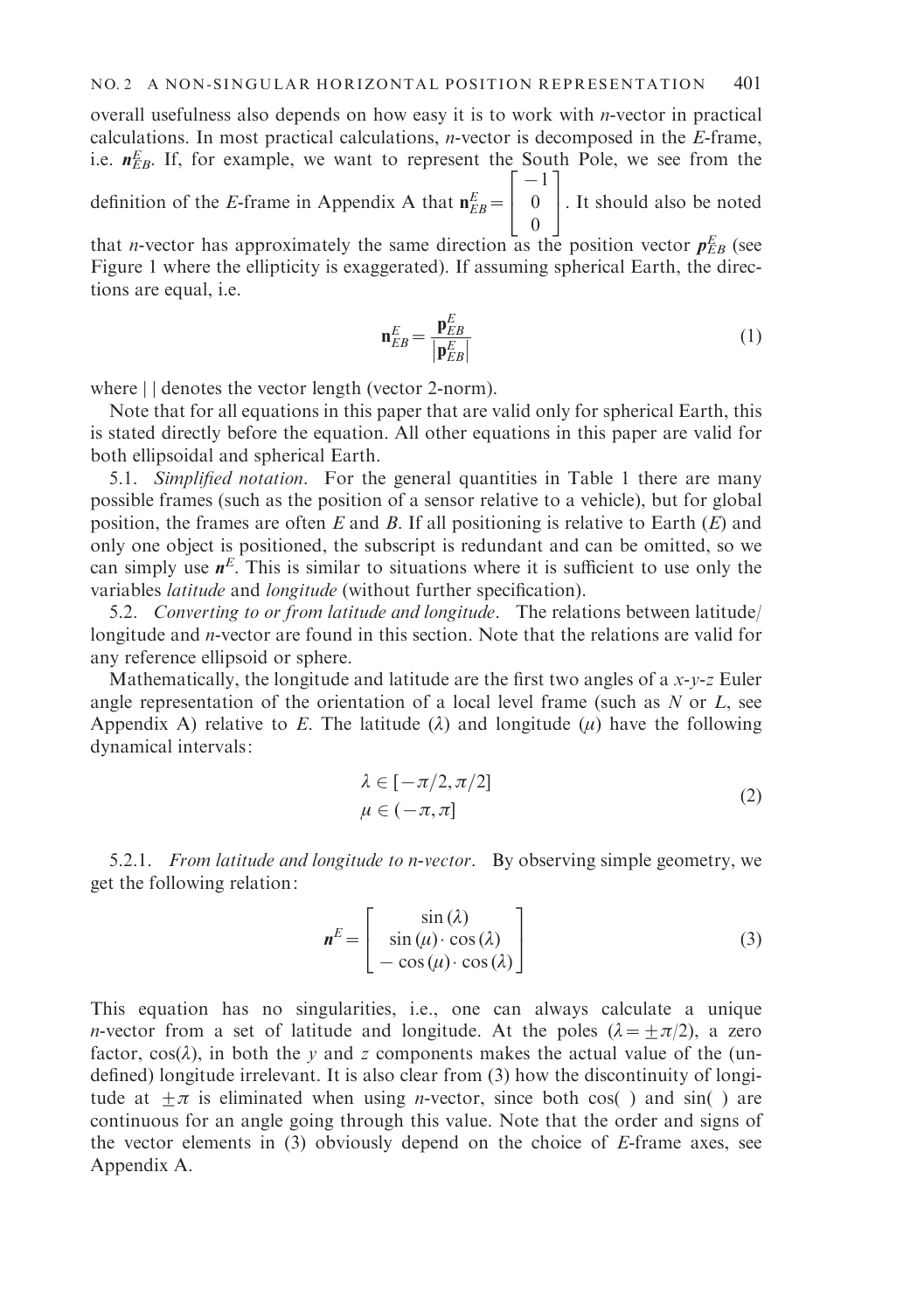overall usefulness also depends on how easy it is to work with *n*-vector in practical calculations. In most practical calculations, n-vector is decomposed in the E-frame, i.e.  $n_{EB}^E$ . If, for example, we want to represent the South Pole, we see from the definition of the E-frame in Appendix A that  $n_{EB}^E =$  $-1$ 0 | 0 | It should also be noted

0 that *n*-vector has approximately the same direction as the position vector  $p_{EB}^E$  (see Figure 1 where the ellipticity is exaggerated). If assuming spherical Earth, the directions are equal, i.e.

$$
\mathbf{n}_{EB}^E = \frac{\mathbf{p}_{EB}^E}{|\mathbf{p}_{EB}^E|}
$$
 (1)

where  $||$  denotes the vector length (vector 2-norm).

Note that for all equations in this paper that are valid only for spherical Earth, this is stated directly before the equation. All other equations in this paper are valid for both ellipsoidal and spherical Earth.

5.1. Simplified notation. For the general quantities in Table 1 there are many possible frames (such as the position of a sensor relative to a vehicle), but for global position, the frames are often E and B. If all positioning is relative to Earth  $(E)$  and only one object is positioned, the subscript is redundant and can be omitted, so we can simply use  $n^E$ . This is similar to situations where it is sufficient to use only the variables latitude and longitude (without further specification).

5.2. Converting to or from latitude and longitude. The relations between latitude/ longitude and *n*-vector are found in this section. Note that the relations are valid for any reference ellipsoid or sphere.

Mathematically, the longitude and latitude are the first two angles of a  $x-y-z$  Euler angle representation of the orientation of a local level frame (such as  $N$  or  $L$ , see Appendix A) relative to E. The latitude  $(\lambda)$  and longitude  $(\mu)$  have the following dynamical intervals:

$$
\lambda \in [-\pi/2, \pi/2] \n\mu \in (-\pi, \pi]
$$
\n(2)

5.2.1. From latitude and longitude to n-vector. By observing simple geometry, we get the following relation:

$$
\mathbf{n}^{E} = \begin{bmatrix} \sin(\lambda) \\ \sin(\mu) \cdot \cos(\lambda) \\ -\cos(\mu) \cdot \cos(\lambda) \end{bmatrix}
$$
 (3)

This equation has no singularities, i.e., one can always calculate a unique *n*-vector from a set of latitude and longitude. At the poles  $(\lambda = \pm \pi/2)$ , a zero factor,  $cos(\lambda)$ , in both the y and z components makes the actual value of the (undefined) longitude irrelevant. It is also clear from (3) how the discontinuity of longitude at  $\pm \pi$  is eliminated when using *n*-vector, since both cos( ) and sin( ) are continuous for an angle going through this value. Note that the order and signs of the vector elements in (3) obviously depend on the choice of E-frame axes, see Appendix A.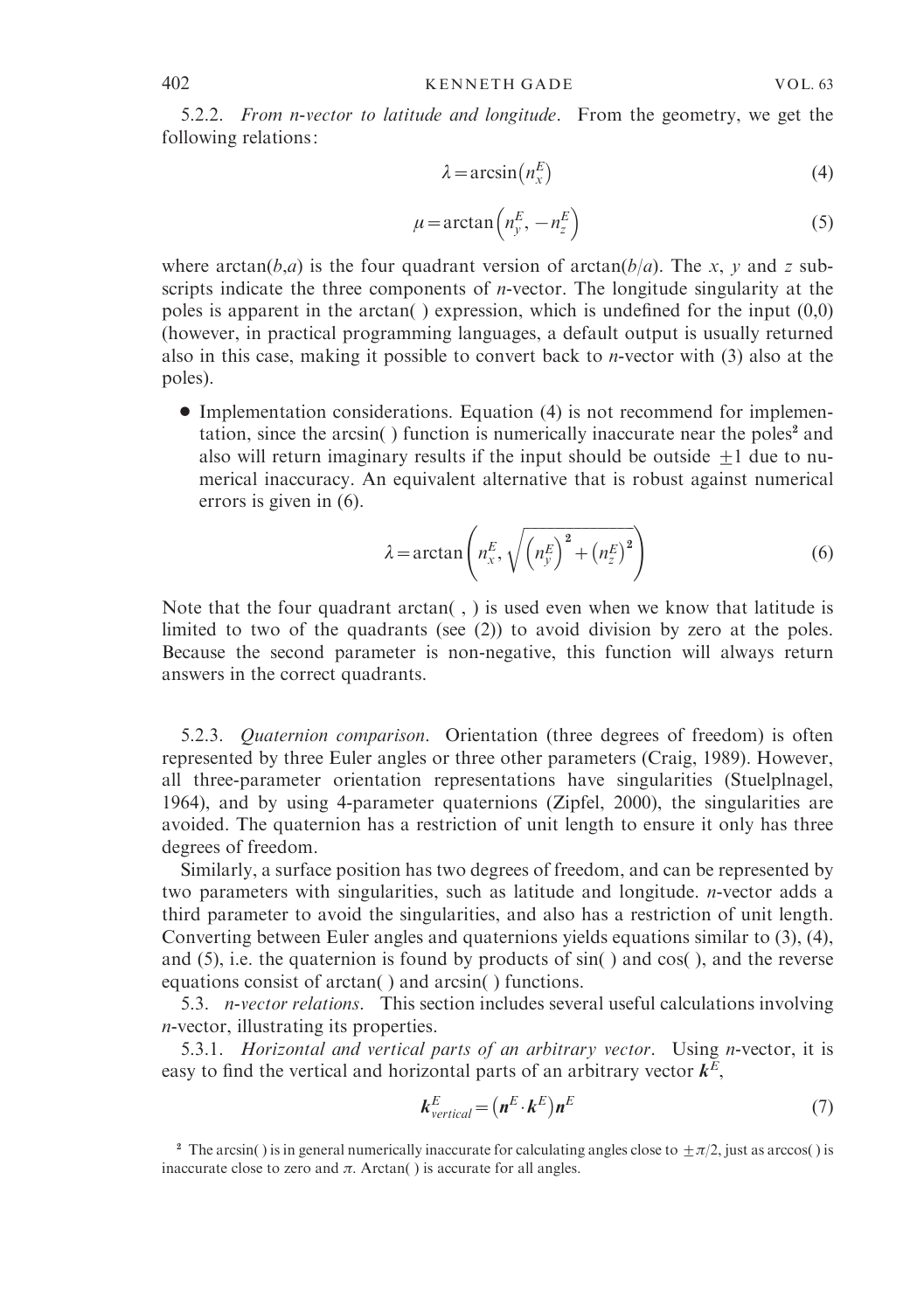5.2.2. From n-vector to latitude and longitude. From the geometry, we get the following relations:

$$
\lambda = \arcsin\left(n_x^E\right) \tag{4}
$$

$$
\mu = \arctan\left(n_{y}^{E}, -n_{z}^{E}\right) \tag{5}
$$

where  $arctan(b,a)$  is the four quadrant version of  $arctan(b/a)$ . The x, y and z subscripts indicate the three components of  $n$ -vector. The longitude singularity at the poles is apparent in the arctan( ) expression, which is undefined for the input (0,0) (however, in practical programming languages, a default output is usually returned also in this case, making it possible to convert back to n-vector with (3) also at the poles).

' Implementation considerations. Equation (4) is not recommend for implementation, since the arcsin( $\cdot$ ) function is numerically inaccurate near the poles<sup>2</sup> and also will return imaginary results if the input should be outside  $\pm 1$  due to numerical inaccuracy. An equivalent alternative that is robust against numerical errors is given in (6).

$$
\lambda = \arctan\left(n_x^E, \sqrt{\left(n_y^E\right)^2 + \left(n_z^E\right)^2}\right) \tag{6}
$$

Note that the four quadrant arctan( , ) is used even when we know that latitude is limited to two of the quadrants (see (2)) to avoid division by zero at the poles. Because the second parameter is non-negative, this function will always return answers in the correct quadrants.

5.2.3. Quaternion comparison. Orientation (three degrees of freedom) is often represented by three Euler angles or three other parameters (Craig, 1989). However, all three-parameter orientation representations have singularities (Stuelplnagel, 1964), and by using 4-parameter quaternions (Zipfel, 2000), the singularities are avoided. The quaternion has a restriction of unit length to ensure it only has three degrees of freedom.

Similarly, a surface position has two degrees of freedom, and can be represented by two parameters with singularities, such as latitude and longitude. n-vector adds a third parameter to avoid the singularities, and also has a restriction of unit length. Converting between Euler angles and quaternions yields equations similar to (3), (4), and (5), i.e. the quaternion is found by products of sin( ) and cos( ), and the reverse equations consist of arctan( ) and arcsin( ) functions.

5.3. n-vector relations. This section includes several useful calculations involving n-vector, illustrating its properties.

5.3.1. Horizontal and vertical parts of an arbitrary vector. Using n-vector, it is easy to find the vertical and horizontal parts of an arbitrary vector  $k^E$ ,

$$
\mathbf{k}_{vertical}^{E} = (\mathbf{n}^{E} \cdot \mathbf{k}^{E}) \mathbf{n}^{E}
$$
 (7)

<sup>&</sup>lt;sup>2</sup> The arcsin( ) is in general numerically inaccurate for calculating angles close to  $\pm \pi/2$ , just as arccos( ) is inaccurate close to zero and  $\pi$ . Arctan( ) is accurate for all angles.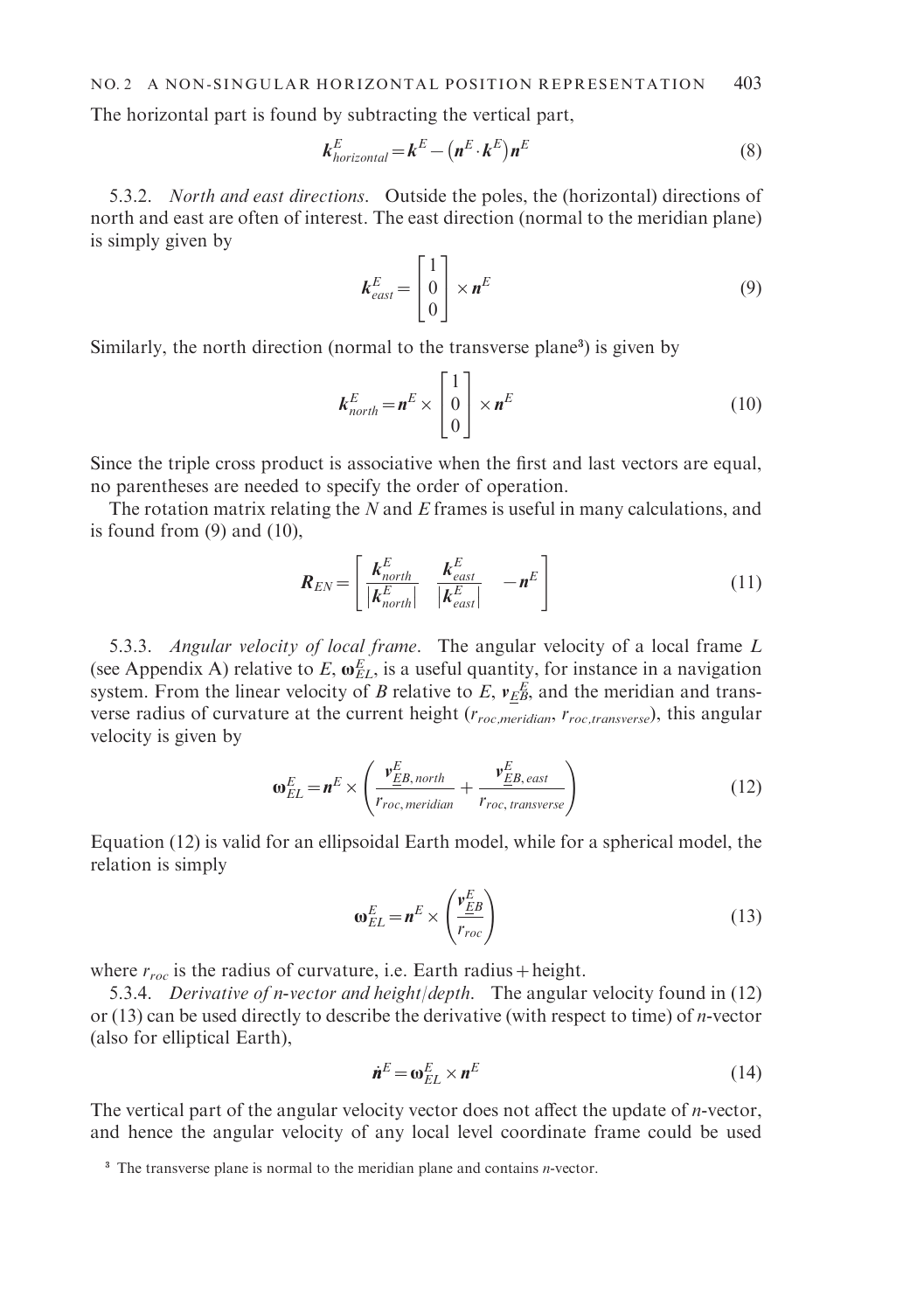The horizontal part is found by subtracting the vertical part,

$$
\boldsymbol{k}_{horizontal}^{E} = \boldsymbol{k}^{E} - (\boldsymbol{n}^{E} \cdot \boldsymbol{k}^{E}) \boldsymbol{n}^{E}
$$
\n(8)

5.3.2. North and east directions. Outside the poles, the (horizontal) directions of north and east are often of interest. The east direction (normal to the meridian plane) is simply given by

$$
\boldsymbol{k}_{\text{east}}^E = \begin{bmatrix} 1 \\ 0 \\ 0 \end{bmatrix} \times \boldsymbol{n}^E \tag{9}
$$

Similarly, the north direction (normal to the transverse plane<sup>3</sup>) is given by

$$
\boldsymbol{k}_{north}^E = \boldsymbol{n}^E \times \begin{bmatrix} 1 \\ 0 \\ 0 \end{bmatrix} \times \boldsymbol{n}^E
$$
 (10)

Since the triple cross product is associative when the first and last vectors are equal, no parentheses are needed to specify the order of operation.

The rotation matrix relating the  $N$  and  $E$  frames is useful in many calculations, and is found from  $(9)$  and  $(10)$ ,

$$
\boldsymbol{R}_{EN} = \begin{bmatrix} \boldsymbol{k}_{north}^E & \boldsymbol{k}_{east}^E \\ |\boldsymbol{k}_{north}^E| & |\boldsymbol{k}_{east}^E| & -\boldsymbol{n}^E \end{bmatrix}
$$
(11)

5.3.3. Angular velocity of local frame. The angular velocity of a local frame L (see Appendix A) relative to E,  $\omega_{EL}^{E}$ , is a useful quantity, for instance in a navigation system. From the linear velocity of B relative to E,  $v_{EB}^{E}$ , and the meridian and transverse radius of curvature at the current height ( $r_{roc, meridian}$ ,  $r_{roc, transverse}$ ), this angular velocity is given by

$$
\omega_{EL}^{E} = n^{E} \times \left( \frac{v_{EB, north}^{E}}{r_{roc, meridian}} + \frac{v_{EB, east}^{E}}{r_{roc, transverse}} \right)
$$
(12)

Equation (12) is valid for an ellipsoidal Earth model, while for a spherical model, the relation is simply

$$
\omega_{EL}^{E} = n^{E} \times \left(\frac{v_{EB}^{E}}{r_{roc}}\right)
$$
 (13)

where  $r_{\text{rec}}$  is the radius of curvature, i.e. Earth radius + height.

5.3.4. Derivative of n-vector and height/depth. The angular velocity found in  $(12)$ or  $(13)$  can be used directly to describe the derivative (with respect to time) of *n*-vector (also for elliptical Earth),

$$
\dot{\boldsymbol{n}}^E = \boldsymbol{\omega}_{EL}^E \times \boldsymbol{n}^E \tag{14}
$$

The vertical part of the angular velocity vector does not affect the update of  $n$ -vector, and hence the angular velocity of any local level coordinate frame could be used

<sup>&</sup>lt;sup>3</sup> The transverse plane is normal to the meridian plane and contains *n*-vector.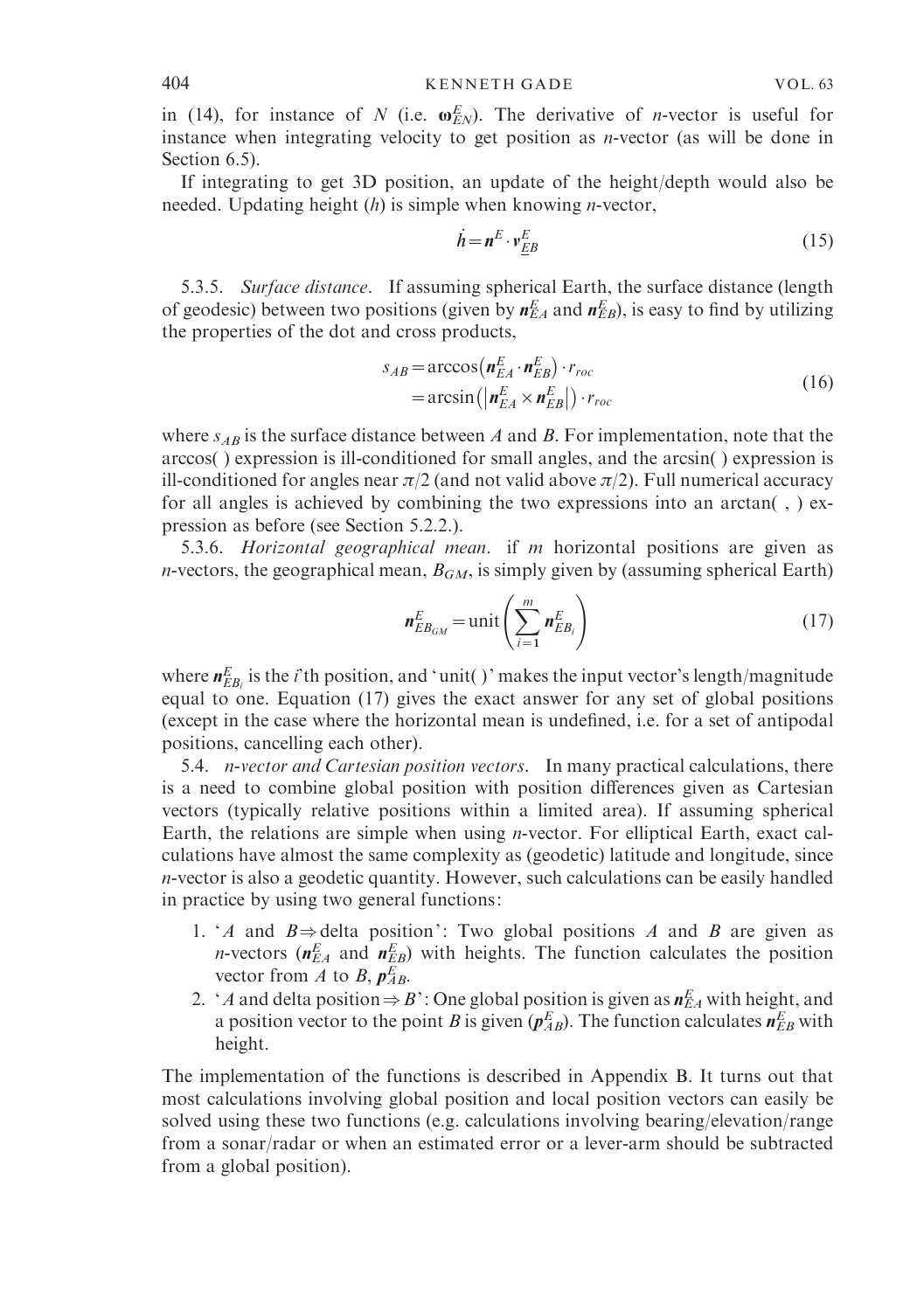in (14), for instance of N (i.e.  $\omega_{EN}^E$ ). The derivative of *n*-vector is useful for instance when integrating velocity to get position as n-vector (as will be done in Section 6.5).

If integrating to get 3D position, an update of the height/depth would also be needed. Updating height  $(h)$  is simple when knowing *n*-vector,

$$
\dot{\boldsymbol{h}} = \boldsymbol{n}^E \cdot \boldsymbol{v}_{EB}^E \tag{15}
$$

5.3.5. Surface distance. If assuming spherical Earth, the surface distance (length of geodesic) between two positions (given by  $n_{EA}^E$  and  $n_{EB}^E$ ), is easy to find by utilizing the properties of the dot and cross products,

$$
s_{AB} = \arccos\left(\boldsymbol{n}_{EA}^{E} \cdot \boldsymbol{n}_{EB}^{E}\right) \cdot r_{roc}
$$
  
= 
$$
\arcsin\left(\left|\boldsymbol{n}_{EA}^{E} \times \boldsymbol{n}_{EB}^{E}\right|\right) \cdot r_{roc}
$$
 (16)

where  $s_{AB}$  is the surface distance between A and B. For implementation, note that the arccos( ) expression is ill-conditioned for small angles, and the arcsin( ) expression is ill-conditioned for angles near  $\pi/2$  (and not valid above  $\pi/2$ ). Full numerical accuracy for all angles is achieved by combining the two expressions into an  $arctan($ ,  $)$  expression as before (see Section 5.2.2.).

5.3.6. Horizontal geographical mean. if m horizontal positions are given as *n*-vectors, the geographical mean,  $B_{GM}$ , is simply given by (assuming spherical Earth)

$$
\boldsymbol{n}_{EB_{GM}}^E = \text{unit} \left( \sum_{i=1}^m \boldsymbol{n}_{EB_i}^E \right) \tag{17}
$$

where  $\textbf{\textit{n}}_{EB_{i}}^{E}$  is the *i*'th position, and 'unit( )' makes the input vector's length/magnitude equal to one. Equation (17) gives the exact answer for any set of global positions (except in the case where the horizontal mean is undefined, i.e. for a set of antipodal positions, cancelling each other).

5.4. *n*-vector and Cartesian position vectors. In many practical calculations, there is a need to combine global position with position differences given as Cartesian vectors (typically relative positions within a limited area). If assuming spherical Earth, the relations are simple when using n-vector. For elliptical Earth, exact calculations have almost the same complexity as (geodetic) latitude and longitude, since n-vector is also a geodetic quantity. However, such calculations can be easily handled in practice by using two general functions:

- 1. 'A and  $B \Rightarrow$  delta position': Two global positions A and B are given as *n*-vectors ( $n_{EA}^E$  and  $n_{EB}^E$ ) with heights. The function calculates the position vector from A to B,  $p_{AB}^E$ .
- 2. 'A and delta position  $\Rightarrow$  B': One global position is given as  $n_{EA}^E$  with height, and a position vector to the point B is given  $(p_{AB}^E)$ . The function calculates  $n_{EB}^E$  with height.

The implementation of the functions is described in Appendix B. It turns out that most calculations involving global position and local position vectors can easily be solved using these two functions (e.g. calculations involving bearing/elevation/range from a sonar/radar or when an estimated error or a lever-arm should be subtracted from a global position).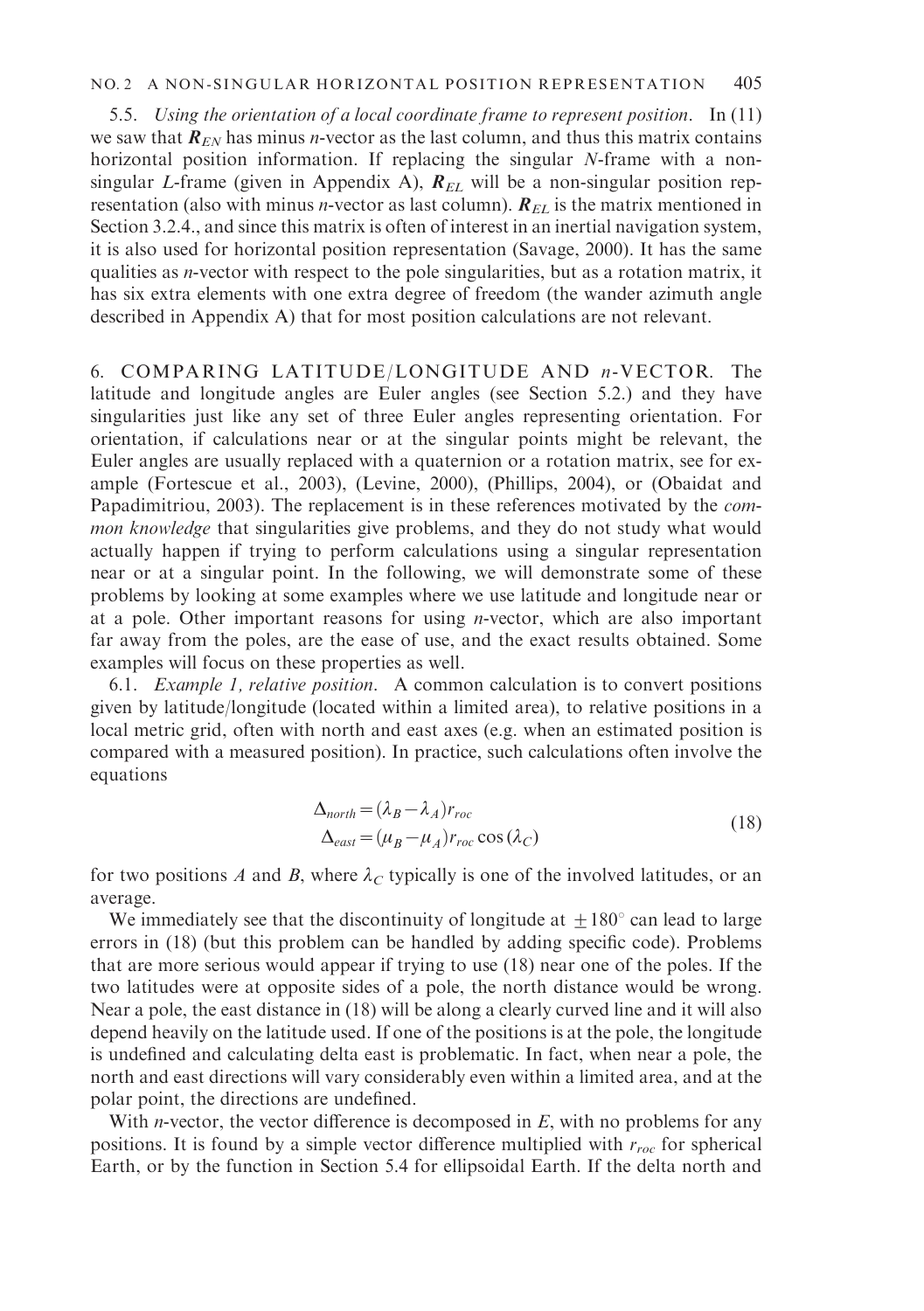# NO. 2 A NON-SINGULAR HORIZONTAL POSITION REPRESENTATION 405

5.5. Using the orientation of a local coordinate frame to represent position. In (11) we saw that  $\mathbf{R}_{EN}$  has minus *n*-vector as the last column, and thus this matrix contains horizontal position information. If replacing the singular N-frame with a nonsingular L-frame (given in Appendix A),  $R_{EL}$  will be a non-singular position representation (also with minus *n*-vector as last column).  $R_{EL}$  is the matrix mentioned in Section 3.2.4., and since this matrix is often of interest in an inertial navigation system, it is also used for horizontal position representation (Savage, 2000). It has the same qualities as n-vector with respect to the pole singularities, but as a rotation matrix, it has six extra elements with one extra degree of freedom (the wander azimuth angle described in Appendix A) that for most position calculations are not relevant.

6. COMPARING LATITUDE /LONGITUDE AND n-VECTOR. The latitude and longitude angles are Euler angles (see Section 5.2.) and they have singularities just like any set of three Euler angles representing orientation. For orientation, if calculations near or at the singular points might be relevant, the Euler angles are usually replaced with a quaternion or a rotation matrix, see for example (Fortescue et al., 2003), (Levine, 2000), (Phillips, 2004), or (Obaidat and Papadimitriou, 2003). The replacement is in these references motivated by the common knowledge that singularities give problems, and they do not study what would actually happen if trying to perform calculations using a singular representation near or at a singular point. In the following, we will demonstrate some of these problems by looking at some examples where we use latitude and longitude near or at a pole. Other important reasons for using  $n$ -vector, which are also important far away from the poles, are the ease of use, and the exact results obtained. Some examples will focus on these properties as well.

6.1. Example 1, relative position. A common calculation is to convert positions given by latitude/longitude (located within a limited area), to relative positions in a local metric grid, often with north and east axes (e.g. when an estimated position is compared with a measured position). In practice, such calculations often involve the equations

$$
\Delta_{north} = (\lambda_B - \lambda_A) r_{roc}
$$
  
\n
$$
\Delta_{east} = (\mu_B - \mu_A) r_{roc} \cos(\lambda_C)
$$
\n(18)

for two positions A and B, where  $\lambda_C$  typically is one of the involved latitudes, or an average.

We immediately see that the discontinuity of longitude at  $\pm 180^{\circ}$  can lead to large errors in (18) (but this problem can be handled by adding specific code). Problems that are more serious would appear if trying to use (18) near one of the poles. If the two latitudes were at opposite sides of a pole, the north distance would be wrong. Near a pole, the east distance in (18) will be along a clearly curved line and it will also depend heavily on the latitude used. If one of the positions is at the pole, the longitude is undefined and calculating delta east is problematic. In fact, when near a pole, the north and east directions will vary considerably even within a limited area, and at the polar point, the directions are undefined.

With *n*-vector, the vector difference is decomposed in  $E$ , with no problems for any positions. It is found by a simple vector difference multiplied with  $r_{roc}$  for spherical Earth, or by the function in Section 5.4 for ellipsoidal Earth. If the delta north and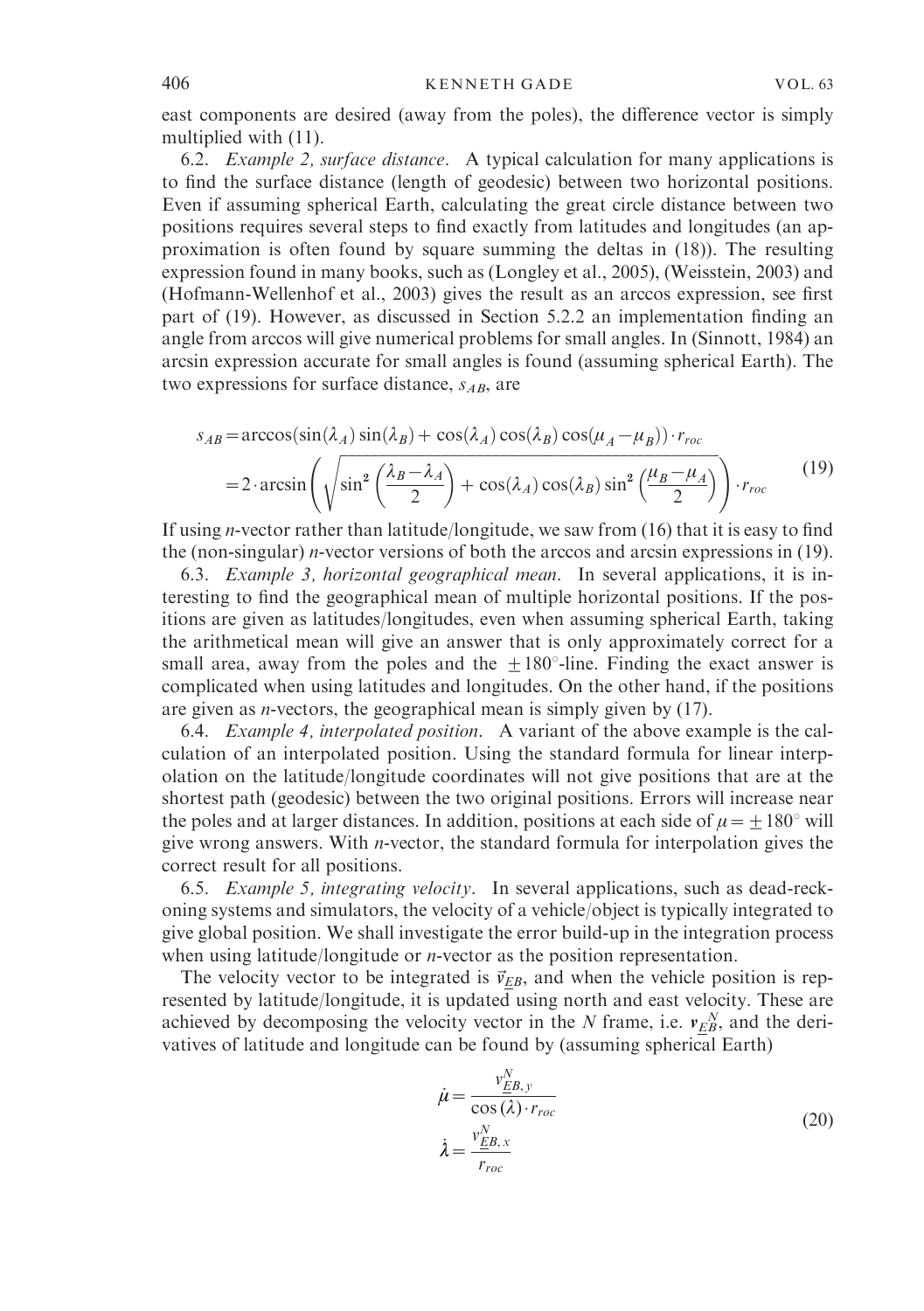east components are desired (away from the poles), the difference vector is simply multiplied with (11).

6.2. Example 2, surface distance. A typical calculation for many applications is to find the surface distance (length of geodesic) between two horizontal positions. Even if assuming spherical Earth, calculating the great circle distance between two positions requires several steps to find exactly from latitudes and longitudes (an approximation is often found by square summing the deltas in (18)). The resulting expression found in many books, such as (Longley et al., 2005), (Weisstein, 2003) and (Hofmann-Wellenhof et al., 2003) gives the result as an arccos expression, see first part of (19). However, as discussed in Section 5.2.2 an implementation finding an angle from arccos will give numerical problems for small angles. In (Sinnott, 1984) an arcsin expression accurate for small angles is found (assuming spherical Earth). The two expressions for surface distance,  $s_{AB}$ , are

$$
s_{AB} = \arccos(\sin(\lambda_A)\sin(\lambda_B) + \cos(\lambda_A)\cos(\lambda_B)\cos(\mu_A - \mu_B)) \cdot r_{roc}
$$
  
=  $2 \cdot \arcsin\left(\sqrt{\sin^2\left(\frac{\lambda_B - \lambda_A}{2}\right) + \cos(\lambda_A)\cos(\lambda_B)\sin^2\left(\frac{\mu_B - \mu_A}{2}\right)}\right) \cdot r_{roc}$  (19)

If using n-vector rather than latitude/longitude, we saw from (16) that it is easy to find the (non-singular) n-vector versions of both the arccos and arcsin expressions in (19).

6.3. Example 3, horizontal geographical mean. In several applications, it is interesting to find the geographical mean of multiple horizontal positions. If the positions are given as latitudes/longitudes, even when assuming spherical Earth, taking the arithmetical mean will give an answer that is only approximately correct for a small area, away from the poles and the  $\pm 180^\circ$ -line. Finding the exact answer is complicated when using latitudes and longitudes. On the other hand, if the positions are given as *n*-vectors, the geographical mean is simply given by  $(17)$ .

6.4. Example 4, interpolated position. A variant of the above example is the calculation of an interpolated position. Using the standard formula for linear interpolation on the latitude/longitude coordinates will not give positions that are at the shortest path (geodesic) between the two original positions. Errors will increase near the poles and at larger distances. In addition, positions at each side of  $\mu = \pm 180^{\circ}$  will give wrong answers. With n-vector, the standard formula for interpolation gives the correct result for all positions.

6.5. Example 5, integrating velocity. In several applications, such as dead-reckoning systems and simulators, the velocity of a vehicle/object is typically integrated to give global position. We shall investigate the error build-up in the integration process when using latitude/longitude or *n*-vector as the position representation.

The velocity vector to be integrated is  $\vec{v}_{EB}$ , and when the vehicle position is represented by latitude/longitude, it is updated using north and east velocity. These are achieved by decomposing the velocity vector in the N frame, i.e.  $v_{EB}^N$ , and the derivatives of latitude and longitude can be found by (assuming spherical Earth)

$$
\dot{\mu} = \frac{v_{EB,y}^N}{\cos(\lambda) \cdot r_{roc}}
$$
\n
$$
\dot{\lambda} = \frac{v_{EB,x}^N}{r_{roc}}
$$
\n(20)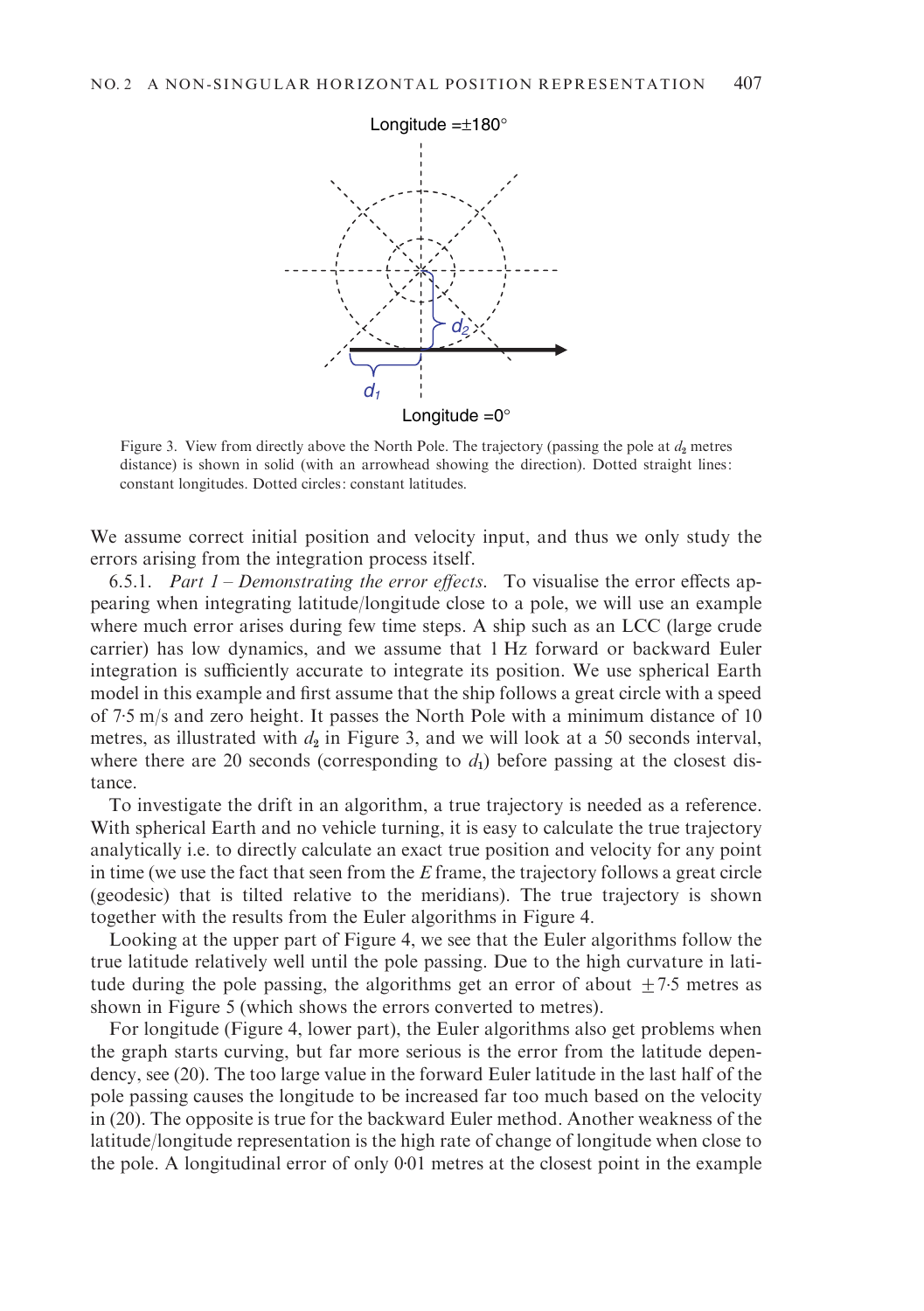

Figure 3. View from directly above the North Pole. The trajectory (passing the pole at  $d_2$  metres distance) is shown in solid (with an arrowhead showing the direction). Dotted straight lines: constant longitudes. Dotted circles: constant latitudes.

We assume correct initial position and velocity input, and thus we only study the errors arising from the integration process itself.

6.5.1. Part  $1$  – Demonstrating the error effects. To visualise the error effects appearing when integrating latitude/longitude close to a pole, we will use an example where much error arises during few time steps. A ship such as an LCC (large crude carrier) has low dynamics, and we assume that 1 Hz forward or backward Euler integration is sufficiently accurate to integrate its position. We use spherical Earth model in this example and first assume that the ship follows a great circle with a speed of 7. 5 m/s and zero height. It passes the North Pole with a minimum distance of 10 metres, as illustrated with  $d_2$  in Figure 3, and we will look at a 50 seconds interval, where there are 20 seconds (corresponding to  $d_1$ ) before passing at the closest distance.

To investigate the drift in an algorithm, a true trajectory is needed as a reference. With spherical Earth and no vehicle turning, it is easy to calculate the true trajectory analytically i.e. to directly calculate an exact true position and velocity for any point in time (we use the fact that seen from the  $E$  frame, the trajectory follows a great circle (geodesic) that is tilted relative to the meridians). The true trajectory is shown together with the results from the Euler algorithms in Figure 4.

Looking at the upper part of Figure 4, we see that the Euler algorithms follow the true latitude relatively well until the pole passing. Due to the high curvature in latitude during the pole passing, the algorithms get an error of about  $\pm$  7.5 metres as shown in Figure 5 (which shows the errors converted to metres).

For longitude (Figure 4, lower part), the Euler algorithms also get problems when the graph starts curving, but far more serious is the error from the latitude dependency, see (20). The too large value in the forward Euler latitude in the last half of the pole passing causes the longitude to be increased far too much based on the velocity in (20). The opposite is true for the backward Euler method. Another weakness of the latitude/longitude representation is the high rate of change of longitude when close to the pole. A longitudinal error of only 0. 01 metres at the closest point in the example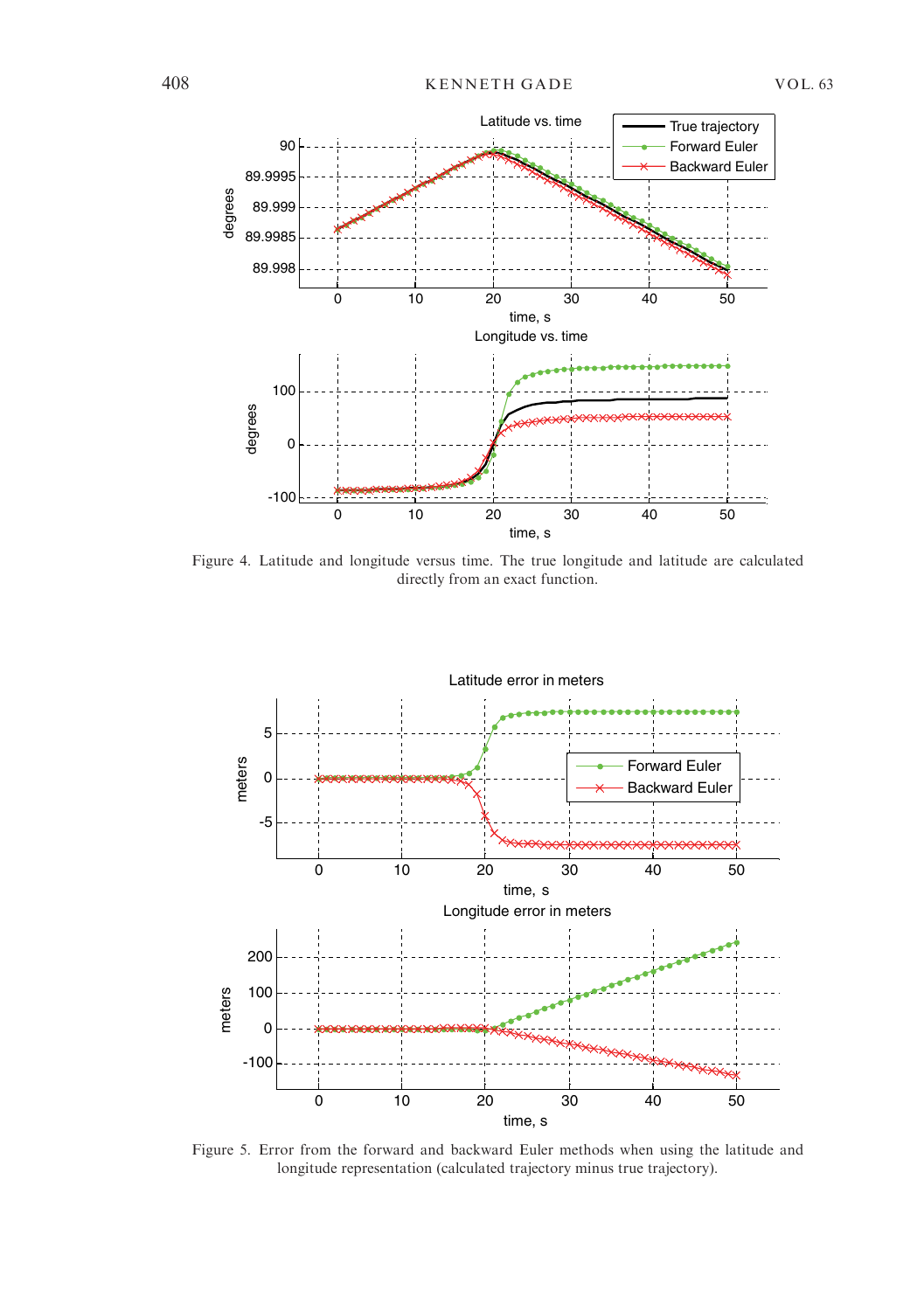

Figure 4. Latitude and longitude versus time. The true longitude and latitude are calculated directly from an exact function.



Figure 5. Error from the forward and backward Euler methods when using the latitude and longitude representation (calculated trajectory minus true trajectory).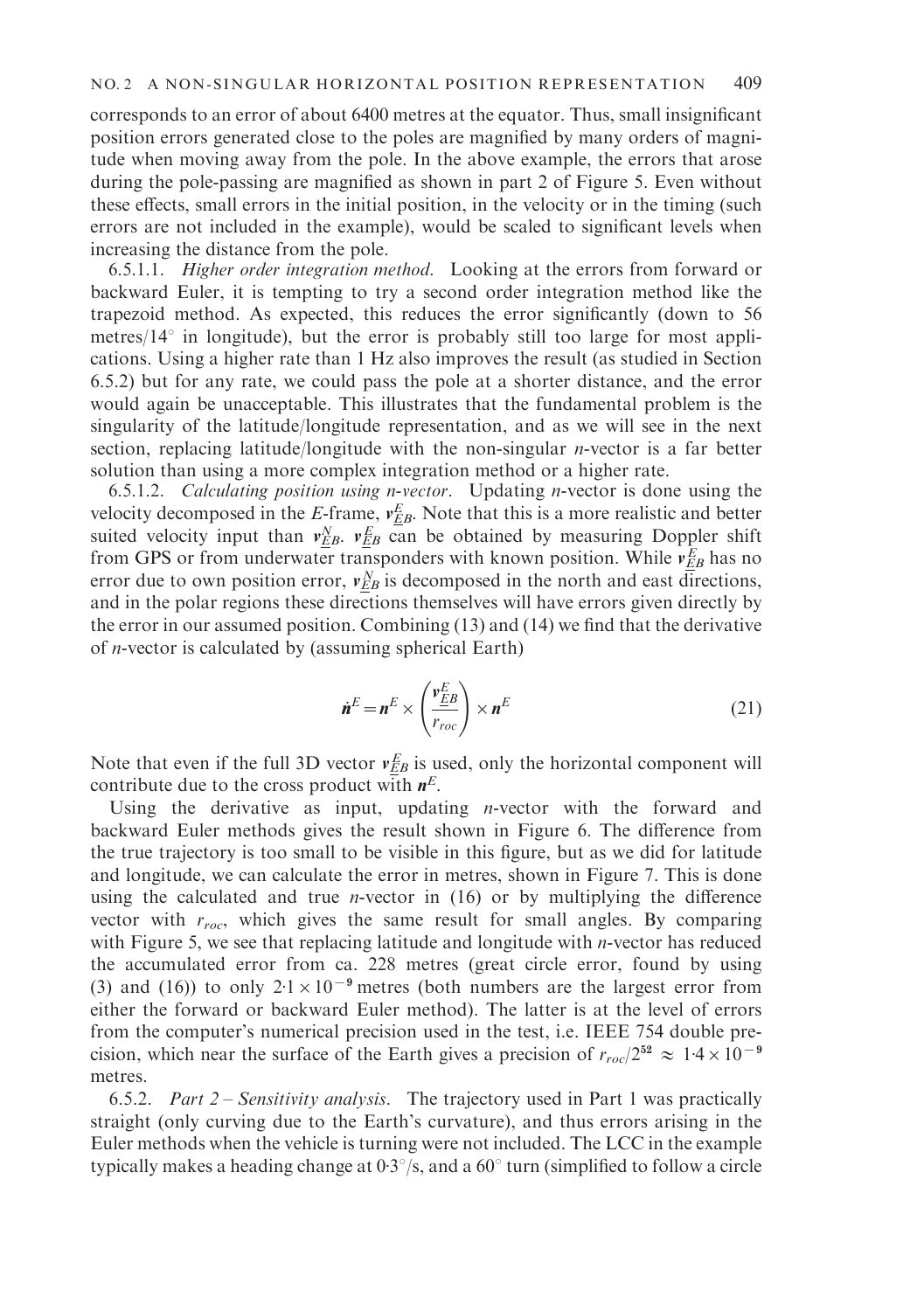corresponds to an error of about 6400 metres at the equator. Thus, small insignificant position errors generated close to the poles are magnified by many orders of magnitude when moving away from the pole. In the above example, the errors that arose during the pole-passing are magnified as shown in part 2 of Figure 5. Even without these effects, small errors in the initial position, in the velocity or in the timing (such errors are not included in the example), would be scaled to significant levels when increasing the distance from the pole.

6.5.1.1. Higher order integration method. Looking at the errors from forward or backward Euler, it is tempting to try a second order integration method like the trapezoid method. As expected, this reduces the error significantly (down to 56 metres/ $14^{\circ}$  in longitude), but the error is probably still too large for most applications. Using a higher rate than 1 Hz also improves the result (as studied in Section 6.5.2) but for any rate, we could pass the pole at a shorter distance, and the error would again be unacceptable. This illustrates that the fundamental problem is the singularity of the latitude/longitude representation, and as we will see in the next section, replacing latitude/longitude with the non-singular n-vector is a far better solution than using a more complex integration method or a higher rate.

6.5.1.2. Calculating position using n-vector. Updating n-vector is done using the velocity decomposed in the E-frame,  $v_{EB}^E$ . Note that this is a more realistic and better suited velocity input than  $v_{EB}^N$ .  $v_{EB}^E$  can be obtained by measuring Doppler shift from GPS or from underwater transponders with known position. While  $v_{EB}^E$  has no error due to own position error,  $v_{EB}^N$  is decomposed in the north and east directions, and in the polar regions these directions themselves will have errors given directly by the error in our assumed position. Combining (13) and (14) we find that the derivative of n-vector is calculated by (assuming spherical Earth)

$$
\dot{\boldsymbol{n}}^E = \boldsymbol{n}^E \times \left(\frac{\boldsymbol{v}_{EB}^E}{r_{roc}}\right) \times \boldsymbol{n}^E
$$
 (21)

Note that even if the full 3D vector  $v_{EB}^E$  is used, only the horizontal component will contribute due to the cross product with  $n<sup>E</sup>$ .

Using the derivative as input, updating *n*-vector with the forward and backward Euler methods gives the result shown in Figure 6. The difference from the true trajectory is too small to be visible in this figure, but as we did for latitude and longitude, we can calculate the error in metres, shown in Figure 7. This is done using the calculated and true *n*-vector in  $(16)$  or by multiplying the difference vector with  $r_{roc}$ , which gives the same result for small angles. By comparing with Figure 5, we see that replacing latitude and longitude with *n*-vector has reduced the accumulated error from ca. 228 metres (great circle error, found by using (3) and (16)) to only  $2.1 \times 10^{-9}$  metres (both numbers are the largest error from either the forward or backward Euler method). The latter is at the level of errors from the computer's numerical precision used in the test, i.e. IEEE 754 double precision, which near the surface of the Earth gives a precision of  $r_{roc}/2^{52} \approx 1.4 \times 10^{-9}$ metres.

6.5.2. Part  $2$  – Sensitivity analysis. The trajectory used in Part 1 was practically straight (only curving due to the Earth's curvature), and thus errors arising in the Euler methods when the vehicle is turning were not included. The LCC in the example typically makes a heading change at  $0.3^{\circ}/s$ , and a  $60^{\circ}$  turn (simplified to follow a circle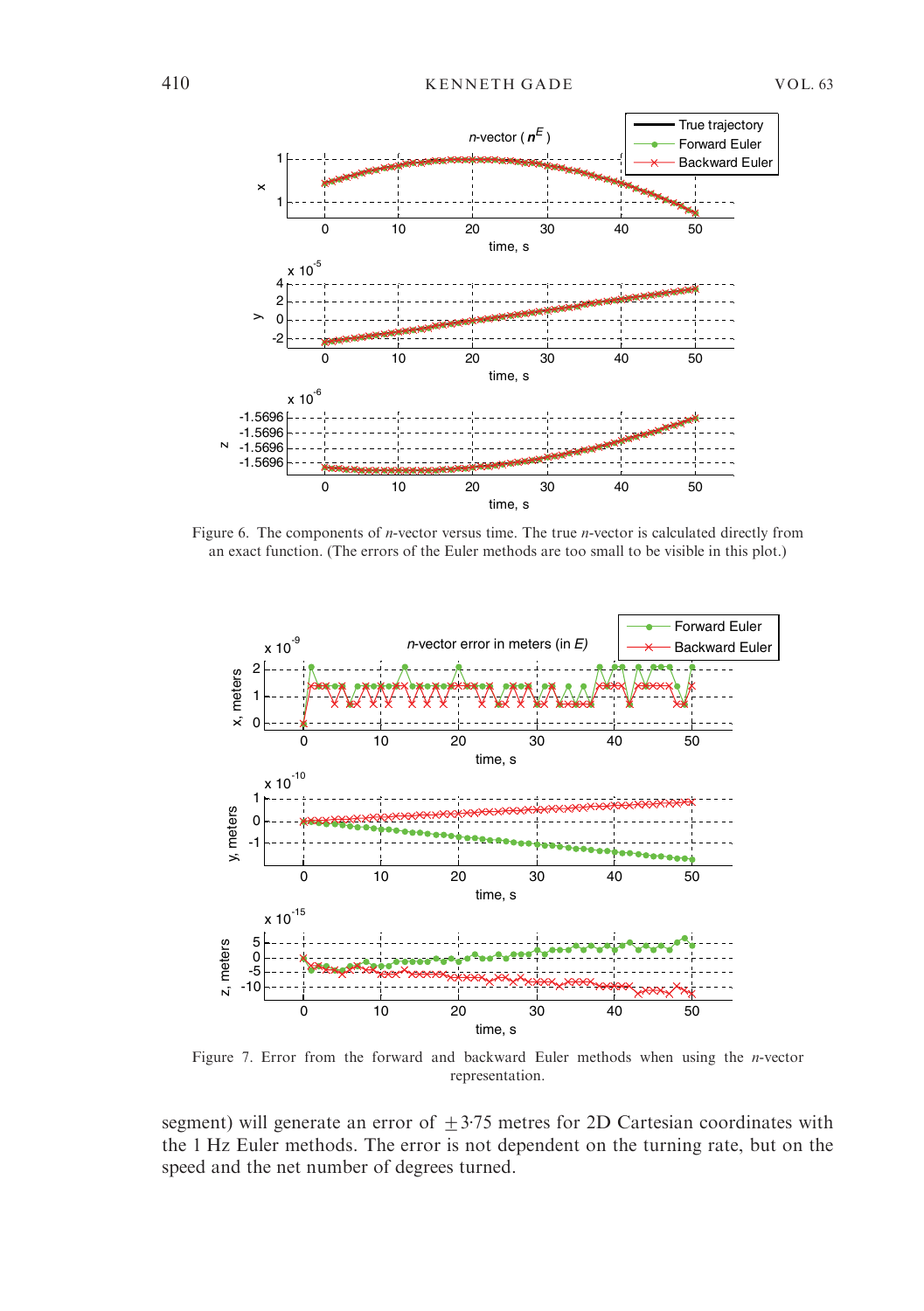

Figure 6. The components of *n*-vector versus time. The true *n*-vector is calculated directly from an exact function. (The errors of the Euler methods are too small to be visible in this plot.)



Figure 7. Error from the forward and backward Euler methods when using the n-vector representation.

segment) will generate an error of  $\pm$  3.75 metres for 2D Cartesian coordinates with the 1 Hz Euler methods. The error is not dependent on the turning rate, but on the speed and the net number of degrees turned.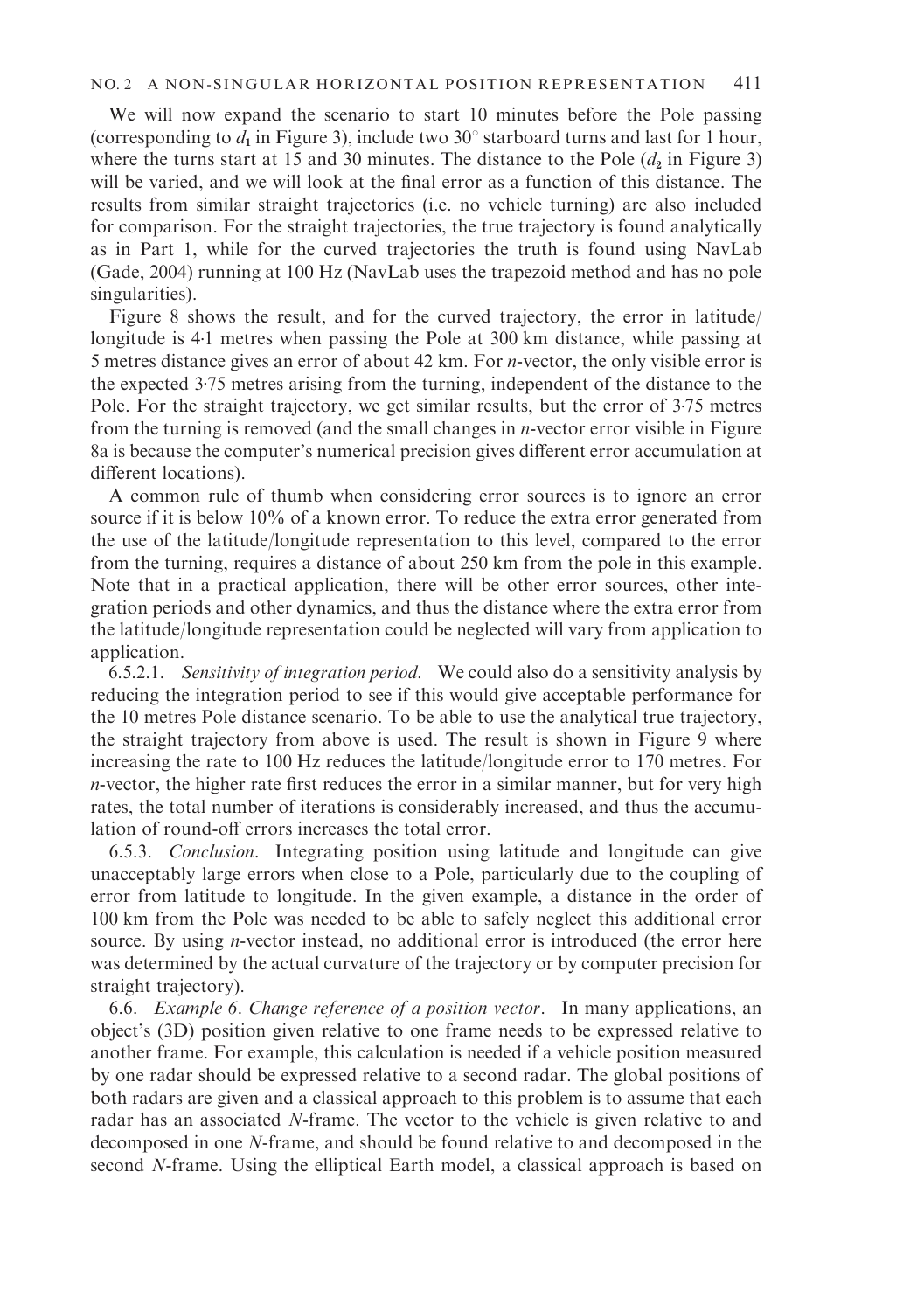We will now expand the scenario to start 10 minutes before the Pole passing (corresponding to  $d_1$  in Figure 3), include two 30° starboard turns and last for 1 hour, where the turns start at 15 and 30 minutes. The distance to the Pole  $(d_2$  in Figure 3) will be varied, and we will look at the final error as a function of this distance. The results from similar straight trajectories (i.e. no vehicle turning) are also included for comparison. For the straight trajectories, the true trajectory is found analytically as in Part 1, while for the curved trajectories the truth is found using NavLab (Gade, 2004) running at 100 Hz (NavLab uses the trapezoid method and has no pole singularities).

Figure 8 shows the result, and for the curved trajectory, the error in latitude/ longitude is 4. 1 metres when passing the Pole at 300 km distance, while passing at 5 metres distance gives an error of about 42 km. For n-vector, the only visible error is the expected 3. 75 metres arising from the turning, independent of the distance to the Pole. For the straight trajectory, we get similar results, but the error of 3. 75 metres from the turning is removed (and the small changes in n-vector error visible in Figure 8a is because the computer's numerical precision gives different error accumulation at different locations).

A common rule of thumb when considering error sources is to ignore an error source if it is below 10% of a known error. To reduce the extra error generated from the use of the latitude/longitude representation to this level, compared to the error from the turning, requires a distance of about 250 km from the pole in this example. Note that in a practical application, there will be other error sources, other integration periods and other dynamics, and thus the distance where the extra error from the latitude/longitude representation could be neglected will vary from application to application.

6.5.2.1. Sensitivity of integration period. We could also do a sensitivity analysis by reducing the integration period to see if this would give acceptable performance for the 10 metres Pole distance scenario. To be able to use the analytical true trajectory, the straight trajectory from above is used. The result is shown in Figure 9 where increasing the rate to 100 Hz reduces the latitude/longitude error to 170 metres. For n-vector, the higher rate first reduces the error in a similar manner, but for very high rates, the total number of iterations is considerably increased, and thus the accumulation of round-off errors increases the total error.

6.5.3. Conclusion. Integrating position using latitude and longitude can give unacceptably large errors when close to a Pole, particularly due to the coupling of error from latitude to longitude. In the given example, a distance in the order of 100 km from the Pole was needed to be able to safely neglect this additional error source. By using *n*-vector instead, no additional error is introduced (the error here was determined by the actual curvature of the trajectory or by computer precision for straight trajectory).

6.6. Example 6. Change reference of a position vector. In many applications, an object's (3D) position given relative to one frame needs to be expressed relative to another frame. For example, this calculation is needed if a vehicle position measured by one radar should be expressed relative to a second radar. The global positions of both radars are given and a classical approach to this problem is to assume that each radar has an associated N-frame. The vector to the vehicle is given relative to and decomposed in one N-frame, and should be found relative to and decomposed in the second N-frame. Using the elliptical Earth model, a classical approach is based on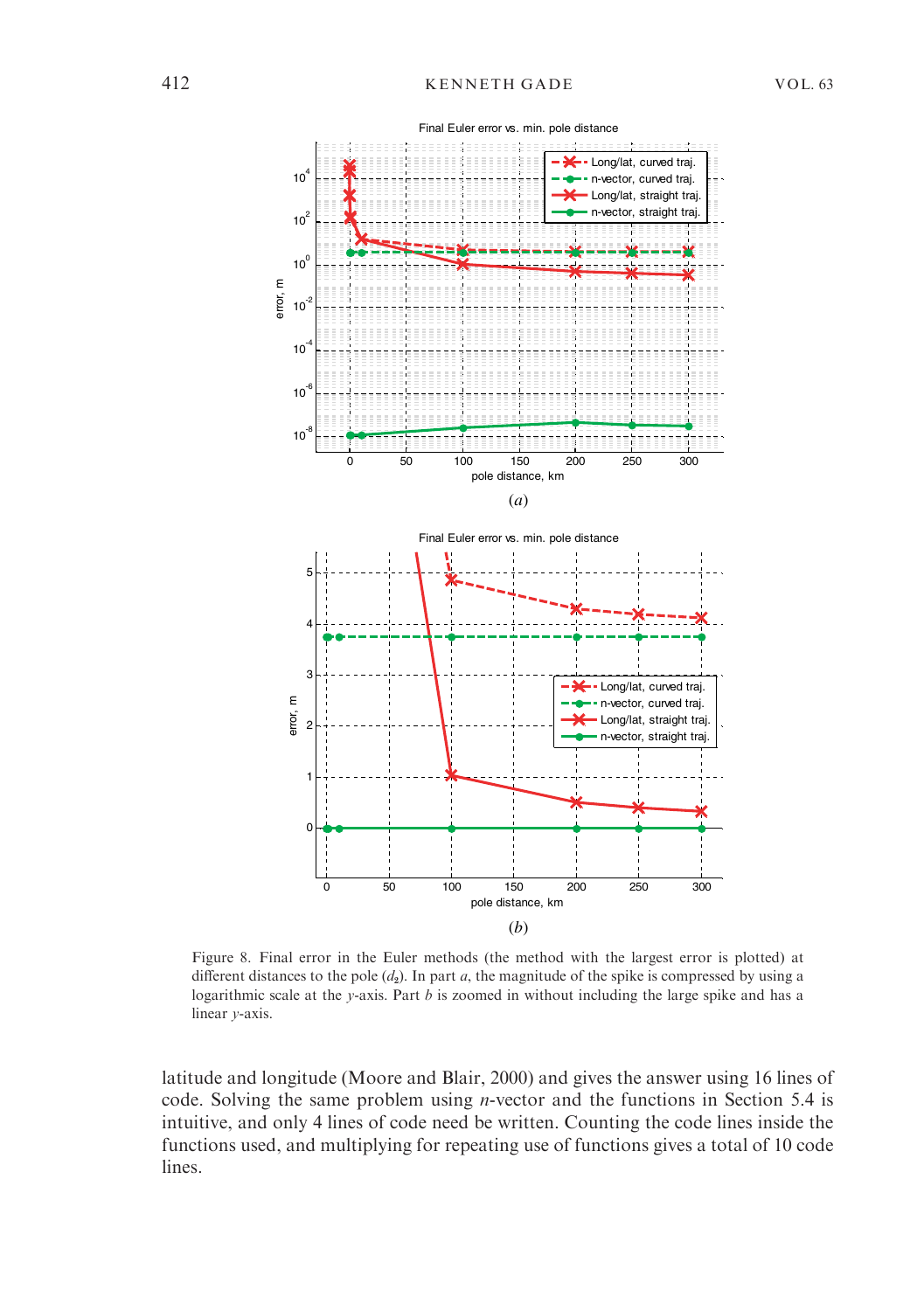

Figure 8. Final error in the Euler methods (the method with the largest error is plotted) at different distances to the pole  $(d_2)$ . In part a, the magnitude of the spike is compressed by using a logarithmic scale at the y-axis. Part  $b$  is zoomed in without including the large spike and has a linear y-axis.

latitude and longitude (Moore and Blair, 2000) and gives the answer using 16 lines of code. Solving the same problem using n-vector and the functions in Section 5.4 is intuitive, and only 4 lines of code need be written. Counting the code lines inside the functions used, and multiplying for repeating use of functions gives a total of 10 code lines.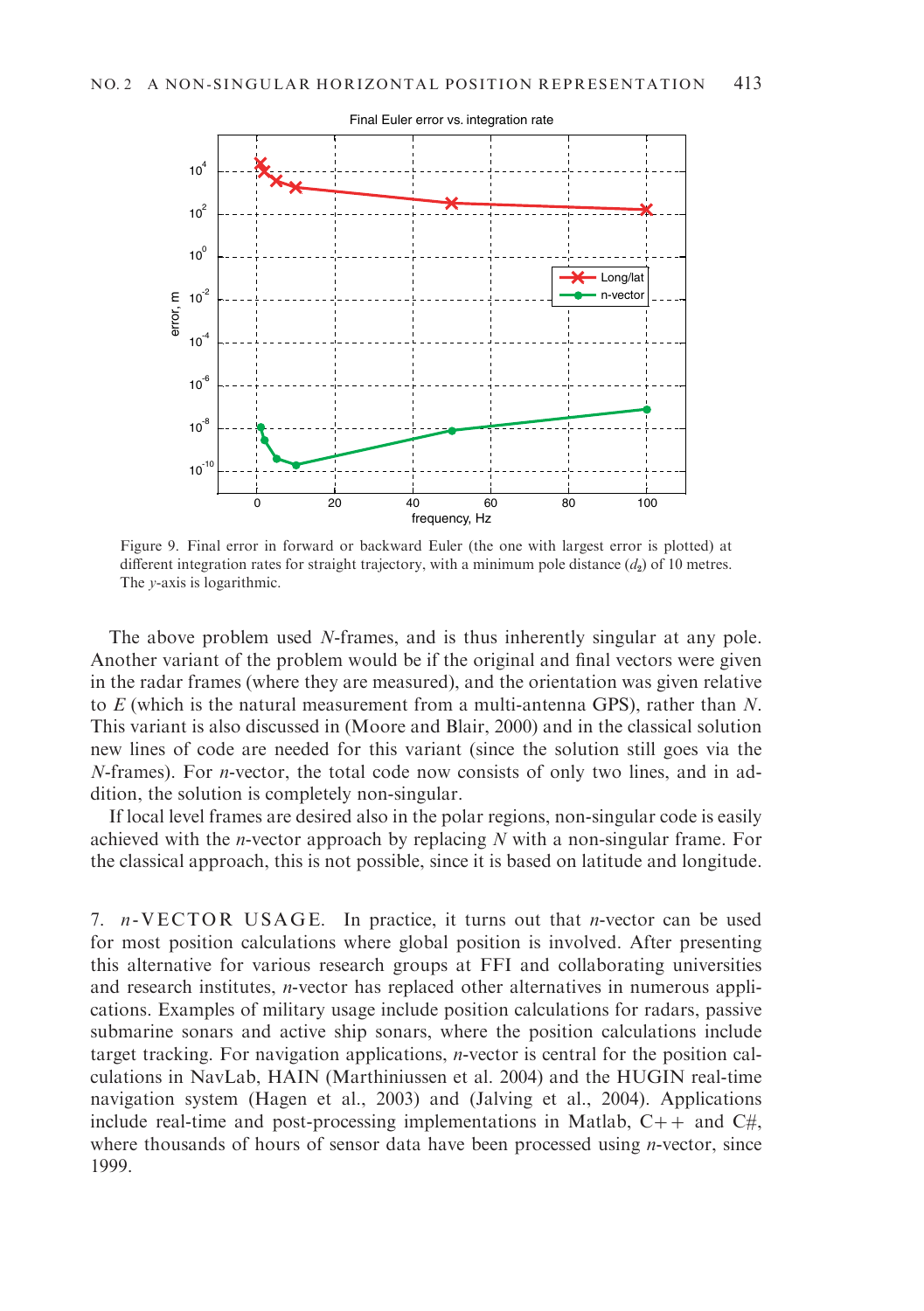

Figure 9. Final error in forward or backward Euler (the one with largest error is plotted) at different integration rates for straight trajectory, with a minimum pole distance  $(d_2)$  of 10 metres. The y-axis is logarithmic.

The above problem used N-frames, and is thus inherently singular at any pole. Another variant of the problem would be if the original and final vectors were given in the radar frames (where they are measured), and the orientation was given relative to  $E$  (which is the natural measurement from a multi-antenna GPS), rather than  $N$ . This variant is also discussed in (Moore and Blair, 2000) and in the classical solution new lines of code are needed for this variant (since the solution still goes via the  $N$ -frames). For *n*-vector, the total code now consists of only two lines, and in addition, the solution is completely non-singular.

If local level frames are desired also in the polar regions, non-singular code is easily achieved with the *n*-vector approach by replacing  $N$  with a non-singular frame. For the classical approach, this is not possible, since it is based on latitude and longitude.

7.  $n$ -VECTOR USAGE. In practice, it turns out that *n*-vector can be used for most position calculations where global position is involved. After presenting this alternative for various research groups at FFI and collaborating universities and research institutes, n-vector has replaced other alternatives in numerous applications. Examples of military usage include position calculations for radars, passive submarine sonars and active ship sonars, where the position calculations include target tracking. For navigation applications, n-vector is central for the position calculations in NavLab, HAIN (Marthiniussen et al. 2004) and the HUGIN real-time navigation system (Hagen et al., 2003) and (Jalving et al., 2004). Applications include real-time and post-processing implementations in Matlab,  $C++$  and  $C\#$ , where thousands of hours of sensor data have been processed using *n*-vector, since 1999.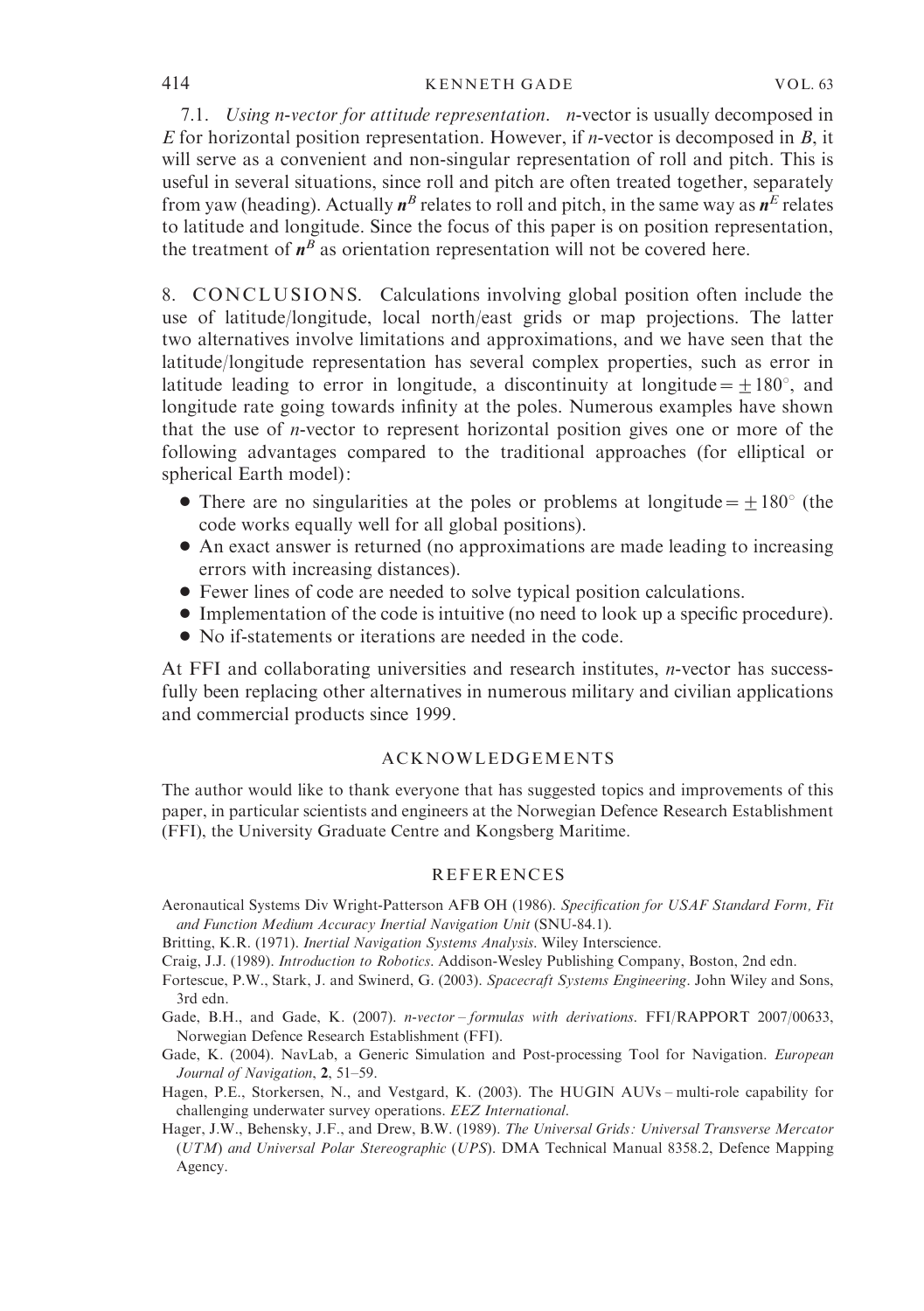7.1. Using n-vector for attitude representation. n-vector is usually decomposed in E for horizontal position representation. However, if *n*-vector is decomposed in B, it will serve as a convenient and non-singular representation of roll and pitch. This is useful in several situations, since roll and pitch are often treated together, separately from yaw (heading). Actually  $n^B$  relates to roll and pitch, in the same way as  $n^E$  relates to latitude and longitude. Since the focus of this paper is on position representation, the treatment of  $n^B$  as orientation representation will not be covered here.

8. CONCLUSIONS. Calculations involving global position often include the use of latitude/longitude, local north/east grids or map projections. The latter two alternatives involve limitations and approximations, and we have seen that the latitude/longitude representation has several complex properties, such as error in latitude leading to error in longitude, a discontinuity at longitude =  $+180^{\circ}$ , and longitude rate going towards infinity at the poles. Numerous examples have shown that the use of n-vector to represent horizontal position gives one or more of the following advantages compared to the traditional approaches (for elliptical or spherical Earth model):

- There are no singularities at the poles or problems at longitude  $=$   $\pm$ 180° (the code works equally well for all global positions).
- ' An exact answer is returned (no approximations are made leading to increasing errors with increasing distances).
- ' Fewer lines of code are needed to solve typical position calculations.
- ' Implementation of the code is intuitive (no need to look up a specific procedure).
- ' No if-statements or iterations are needed in the code.

At FFI and collaborating universities and research institutes, n-vector has successfully been replacing other alternatives in numerous military and civilian applications and commercial products since 1999.

# ACKNOWLEDGEMENTS

The author would like to thank everyone that has suggested topics and improvements of this paper, in particular scientists and engineers at the Norwegian Defence Research Establishment (FFI), the University Graduate Centre and Kongsberg Maritime.

# **REFERENCES**

- Aeronautical Systems Div Wright-Patterson AFB OH (1986). Specification for USAF Standard Form, Fit and Function Medium Accuracy Inertial Navigation Unit (SNU-84.1).
- Britting, K.R. (1971). Inertial Navigation Systems Analysis. Wiley Interscience.
- Craig, J.J. (1989). Introduction to Robotics. Addison-Wesley Publishing Company, Boston, 2nd edn.
- Fortescue, P.W., Stark, J. and Swinerd, G. (2003). Spacecraft Systems Engineering. John Wiley and Sons, 3rd edn.
- Gade, B.H., and Gade, K. (2007). n-vector formulas with derivations. FFI/RAPPORT 2007/00633, Norwegian Defence Research Establishment (FFI).
- Gade, K. (2004). NavLab, a Generic Simulation and Post-processing Tool for Navigation. European Journal of Navigation, 2, 51–59.
- Hagen, P.E., Storkersen, N., and Vestgard, K. (2003). The HUGIN AUVs multi-role capability for challenging underwater survey operations. EEZ International.
- Hager, J.W., Behensky, J.F., and Drew, B.W. (1989). The Universal Grids : Universal Transverse Mercator (UTM) and Universal Polar Stereographic (UPS). DMA Technical Manual 8358.2, Defence Mapping Agency.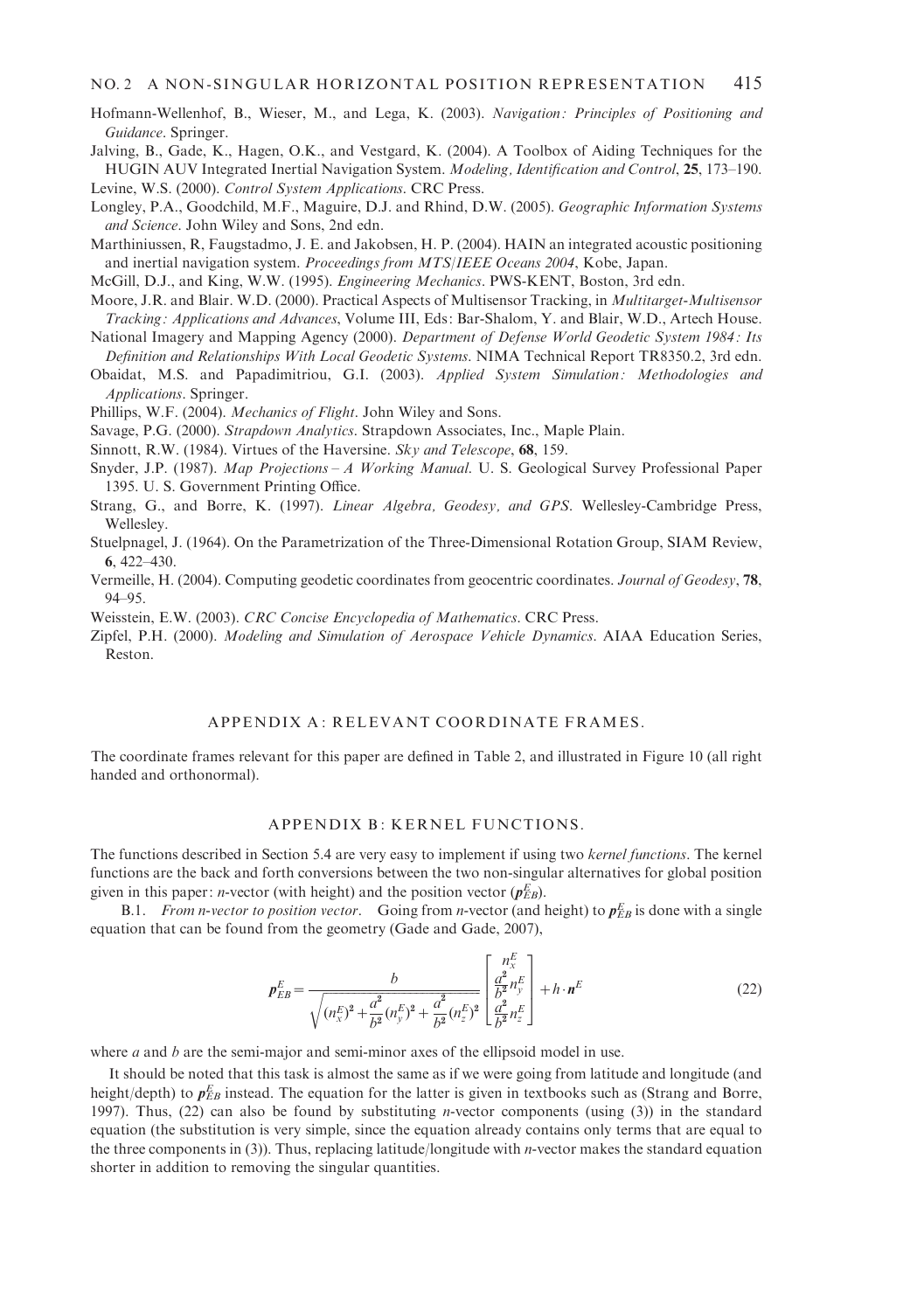- Hofmann-Wellenhof, B., Wieser, M., and Lega, K. (2003). Navigation : Principles of Positioning and Guidance. Springer.
- Jalving, B., Gade, K., Hagen, O.K., and Vestgard, K. (2004). A Toolbox of Aiding Techniques for the HUGIN AUV Integrated Inertial Navigation System. Modeling, Identification and Control, 25, 173–190. Levine, W.S. (2000). Control System Applications. CRC Press.
- Longley, P.A., Goodchild, M.F., Maguire, D.J. and Rhind, D.W. (2005). Geographic Information Systems and Science. John Wiley and Sons, 2nd edn.
- Marthiniussen, R, Faugstadmo, J. E. and Jakobsen, H. P. (2004). HAIN an integrated acoustic positioning and inertial navigation system. Proceedings from MTS/IEEE Oceans 2004, Kobe, Japan.

McGill, D.J., and King, W.W. (1995). Engineering Mechanics. PWS-KENT, Boston, 3rd edn.

- Moore, J.R. and Blair. W.D. (2000). Practical Aspects of Multisensor Tracking, in Multitarget-Multisensor Tracking : Applications and Advances, Volume III, Eds: Bar-Shalom, Y. and Blair, W.D., Artech House.
- National Imagery and Mapping Agency (2000). Department of Defense World Geodetic System 1984: Its Definition and Relationships With Local Geodetic Systems. NIMA Technical Report TR8350.2, 3rd edn.
- Obaidat, M.S. and Papadimitriou, G.I. (2003). Applied System Simulation: Methodologies and Applications. Springer.

Phillips, W.F. (2004). Mechanics of Flight. John Wiley and Sons.

- Savage, P.G. (2000). Strapdown Analytics. Strapdown Associates, Inc., Maple Plain.
- Sinnott, R.W. (1984). Virtues of the Haversine. Sky and Telescope, 68, 159.
- Snyder, J.P. (1987). Map Projections A Working Manual. U. S. Geological Survey Professional Paper 1395. U. S. Government Printing Office.
- Strang, G., and Borre, K. (1997). Linear Algebra, Geodesy, and GPS. Wellesley-Cambridge Press, Wellesley.
- Stuelpnagel, J. (1964). On the Parametrization of the Three-Dimensional Rotation Group, SIAM Review, 6, 422–430.
- Vermeille, H. (2004). Computing geodetic coordinates from geocentric coordinates. Journal of Geodesy, 78, 94–95.

Weisstein, E.W. (2003). CRC Concise Encyclopedia of Mathematics. CRC Press.

Zipfel, P.H. (2000). Modeling and Simulation of Aerospace Vehicle Dynamics. AIAA Education Series, Reston.

## APPENDIX A: RELEVANT COORDINATE FRAMES.

The coordinate frames relevant for this paper are defined in Table 2, and illustrated in Figure 10 (all right handed and orthonormal).

#### APPENDIX B: KERNEL FUNCTIONS.

The functions described in Section 5.4 are very easy to implement if using two kernel functions. The kernel functions are the back and forth conversions between the two non-singular alternatives for global position given in this paper: *n*-vector (with height) and the position vector  $(p_{EB}^E)$ .

B.1. From n-vector to position vector. Going from n-vector (and height) to  $p_{EB}^E$  is done with a single equation that can be found from the geometry (Gade and Gade, 2007),

$$
\boldsymbol{p}_{EB}^E = \frac{b}{\sqrt{(n_x^E)^2 + \frac{a^2}{b^2}(n_y^E)^2 + \frac{a^2}{b^2}(n_z^E)^2}} \begin{bmatrix} n_x^E\\ \frac{a^2}{b^2}n_y^E\\ \frac{a^2}{b^2}n_z^E \end{bmatrix} + h \cdot \boldsymbol{n}^E
$$
 (22)

where  $a$  and  $b$  are the semi-major and semi-minor axes of the ellipsoid model in use.

It should be noted that this task is almost the same as if we were going from latitude and longitude (and height/depth) to  $p_{EB}^E$  instead. The equation for the latter is given in textbooks such as (Strang and Borre, 1997). Thus, (22) can also be found by substituting *n*-vector components (using (3)) in the standard equation (the substitution is very simple, since the equation already contains only terms that are equal to the three components in (3)). Thus, replacing latitude/longitude with *n*-vector makes the standard equation shorter in addition to removing the singular quantities.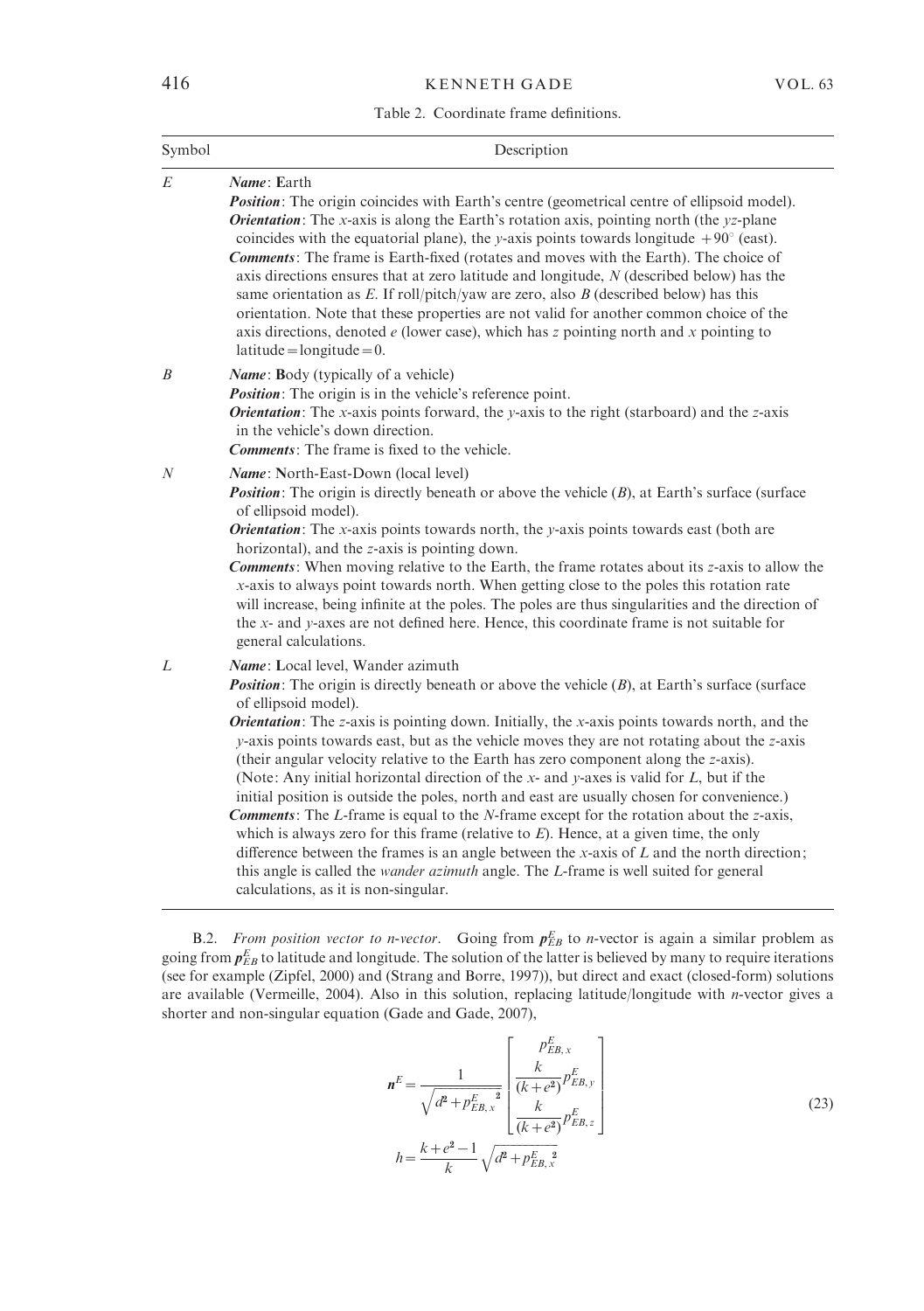### Table 2. Coordinate frame definitions.

| Symbol | Description                                                                                                                                                                                                                                                                                                                                                                                                                                                                                                                                                                                                                                                                                                                                                                                                                                                                                                                                                                                                                                                                                                        |
|--------|--------------------------------------------------------------------------------------------------------------------------------------------------------------------------------------------------------------------------------------------------------------------------------------------------------------------------------------------------------------------------------------------------------------------------------------------------------------------------------------------------------------------------------------------------------------------------------------------------------------------------------------------------------------------------------------------------------------------------------------------------------------------------------------------------------------------------------------------------------------------------------------------------------------------------------------------------------------------------------------------------------------------------------------------------------------------------------------------------------------------|
| E      | Name: Earth<br>Position: The origin coincides with Earth's centre (geometrical centre of ellipsoid model).<br><b>Orientation:</b> The x-axis is along the Earth's rotation axis, pointing north (the $yz$ -plane<br>coincides with the equatorial plane), the y-axis points towards longitude $+90^{\circ}$ (east).<br><b>Comments:</b> The frame is Earth-fixed (rotates and moves with the Earth). The choice of<br>axis directions ensures that at zero latitude and longitude, $N$ (described below) has the<br>same orientation as $E$ . If roll/pitch/yaw are zero, also $B$ (described below) has this<br>orientation. Note that these properties are not valid for another common choice of the<br>axis directions, denoted $e$ (lower case), which has z pointing north and x pointing to<br>$lattice = longitude = 0.$                                                                                                                                                                                                                                                                                   |
| B      | Name: Body (typically of a vehicle)<br><i>Position</i> : The origin is in the vehicle's reference point.<br><b>Orientation:</b> The x-axis points forward, the y-axis to the right (starboard) and the z-axis<br>in the vehicle's down direction.<br><b>Comments:</b> The frame is fixed to the vehicle.                                                                                                                                                                                                                                                                                                                                                                                                                                                                                                                                                                                                                                                                                                                                                                                                           |
| N      | Name: North-East-Down (local level)<br><b>Position:</b> The origin is directly beneath or above the vehicle $(B)$ , at Earth's surface (surface<br>of ellipsoid model).<br><b>Orientation:</b> The x-axis points towards north, the y-axis points towards east (both are<br>horizontal), and the z-axis is pointing down.<br><b>Comments:</b> When moving relative to the Earth, the frame rotates about its z-axis to allow the<br>x-axis to always point towards north. When getting close to the poles this rotation rate<br>will increase, being infinite at the poles. The poles are thus singularities and the direction of<br>the x- and y-axes are not defined here. Hence, this coordinate frame is not suitable for<br>general calculations.                                                                                                                                                                                                                                                                                                                                                             |
| L      | Name: Local level, Wander azimuth<br><b>Position:</b> The origin is directly beneath or above the vehicle $(B)$ , at Earth's surface (surface<br>of ellipsoid model).<br><b>Orientation:</b> The z-axis is pointing down. Initially, the x-axis points towards north, and the<br>$\nu$ -axis points towards east, but as the vehicle moves they are not rotating about the z-axis<br>(their angular velocity relative to the Earth has zero component along the z-axis).<br>(Note: Any initial horizontal direction of the x- and y-axes is valid for $L$ , but if the<br>initial position is outside the poles, north and east are usually chosen for convenience.)<br><b>Comments:</b> The L-frame is equal to the N-frame except for the rotation about the z-axis,<br>which is always zero for this frame (relative to $E$ ). Hence, at a given time, the only<br>difference between the frames is an angle between the x-axis of $L$ and the north direction;<br>this angle is called the <i>wander azimuth</i> angle. The <i>L</i> -frame is well suited for general<br>calculations, as it is non-singular. |

B.2. From position vector to n-vector. Going from  $p_{EB}^E$  to n-vector is again a similar problem as going from  $p_{EB}^E$  to latitude and longitude. The solution of the latter is believed by many to require iterations (see for example (Zipfel, 2000) and (Strang and Borre, 1997)), but direct and exact (closed-form) solutions are available (Vermeille, 2004). Also in this solution, replacing latitude/longitude with *n*-vector gives a shorter and non-singular equation (Gade and Gade, 2007),

$$
\mathbf{n}^{E} = \frac{1}{\sqrt{d^{2} + p_{EB,x}^{E}}^{2}} \begin{bmatrix} p_{EB,x}^{E} \\ \frac{k}{(k + e^{2})} p_{EB,y}^{E} \\ \frac{k}{(k + e^{2})} p_{EB,z}^{E} \end{bmatrix}
$$
\n
$$
h = \frac{k + e^{2} - 1}{k} \sqrt{d^{2} + p_{EB,x}^{E}}^{2}
$$
\n(23)